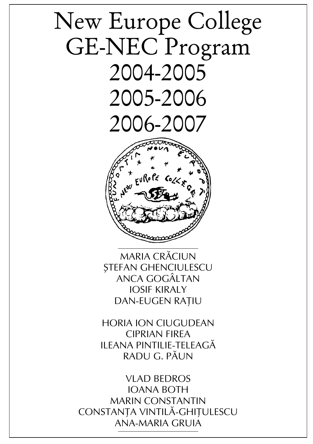# New Europe College GE-NEC Program 2004-2005 2005-2006 2006-2007



Maria CRÃCIUN STEFAN GHENCIULESCU Anca GOGÂLTAN Iosif KIRALY DAN-EUGEN RATIU

Horia Ion CIUGUDEAN Ciprian FIREA Ileana PINTILIE-TELEAGÃ Radu G. PÃUN

Vlad BEDROS Ioana BOTH Marin CONSTANTIN CONSTANTA VINTILĂ-GHITULESCU Ana-Maria GRUIA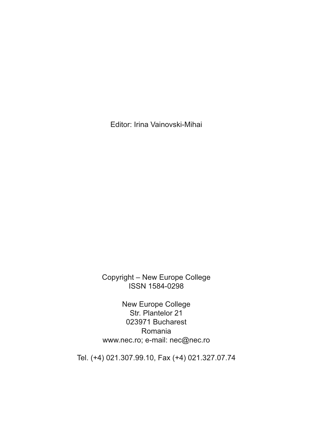Editor: Irina Vainovski-Mihai

Copyright – New Europe College ISSN 1584-0298

New Europe College Str. Plantelor 21 023971 Bucharest Romania www.nec.ro; e-mail: nec@nec.ro

Tel. (+4) 021.307.99.10, Fax (+4) 021.327.07.74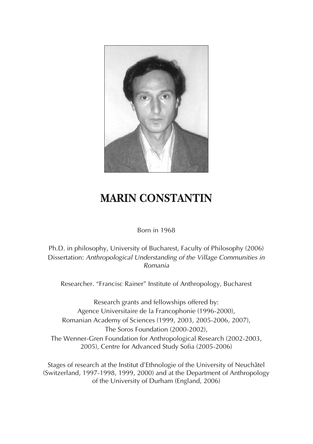

# **MARIN CONSTANTIN**

Born in 1968

Ph.D. in philosophy, University of Bucharest, Faculty of Philosophy (2006) Dissertation: *Anthropological Understanding of the Village Communities in Romania*

Researcher. "Francisc Rainer" Institute of Anthropology, Bucharest

Research grants and fellowships offered by: Agence Universitaire de la Francophonie (1996-2000), Romanian Academy of Sciences (1999, 2003, 2005-2006, 2007), The Soros Foundation (2000-2002), The Wenner-Gren Foundation for Anthropological Research (2002-2003, 2005), Centre for Advanced Study Sofia (2005-2006)

Stages of research at the Institut d'Ethnologie of the University of Neuchâtel (Switzerland, 1997-1998, 1999, 2000) and at the Department of Anthropology of the University of Durham (England, 2006)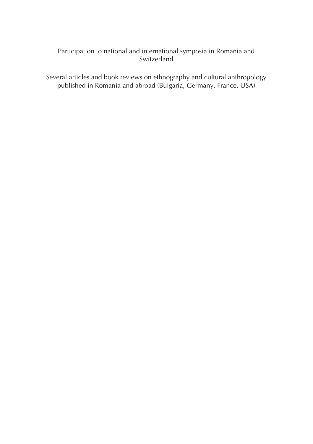#### Participation to national and international symposia in Romania and Switzerland

Several articles and book reviews on ethnography and cultural anthropology published in Romania and abroad (Bulgaria, Germany, France, USA)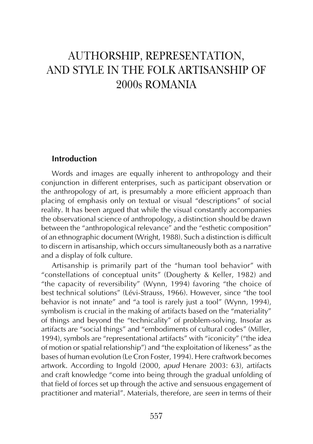# AUTHORSHIP, REPRESENTATION, AND STYLE IN THE FOLK ARTISANSHIP OF 2000s ROMANIA

#### **Introduction**

Words and images are equally inherent to anthropology and their conjunction in different enterprises, such as participant observation or the anthropology of art, is presumably a more efficient approach than placing of emphasis only on textual or visual "descriptions" of social reality. It has been argued that while the visual constantly accompanies the observational science of anthropology, a distinction should be drawn between the "anthropological relevance" and the "esthetic composition" of an ethnographic document (Wright, 1988). Such a distinction is difficult to discern in artisanship, which occurs simultaneously both as a narrative and a display of folk culture.

Artisanship is primarily part of the "human tool behavior" with "constellations of conceptual units" (Dougherty & Keller, 1982) and "the capacity of reversibility" (Wynn, 1994) favoring "the choice of best technical solutions" (Lévi-Strauss, 1966). However, since "the tool behavior is not innate" and "a tool is rarely just a tool" (Wynn, 1994), symbolism is crucial in the making of artifacts based on the "materiality" of things and beyond the "technicality" of problem-solving. Insofar as artifacts are "social things" and "embodiments of cultural codes" (Miller, 1994), symbols are "representational artifacts" with "iconicity" ("the idea of motion or spatial relationship") and "the exploitation of likeness" as the bases of human evolution (Le Cron Foster, 1994). Here craftwork becomes artwork. According to Ingold (2000, *apud* Henare 2003: 63), artifacts and craft knowledge "come into being through the gradual unfolding of that field of forces set up through the active and sensuous engagement of practitioner and material". Materials, therefore, are *seen* in terms of their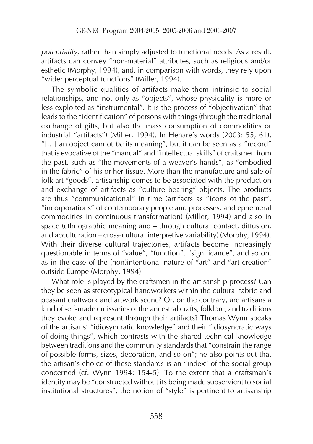*potentiality*, rather than simply adjusted to functional needs. As a result, artifacts can convey "non-material" attributes, such as religious and/or esthetic (Morphy, 1994), and, in comparison with words, they rely upon "wider perceptual functions" (Miller, 1994).

The symbolic qualities of artifacts make them intrinsic to social relationships, and not only as "objects", whose physicality is more or less exploited as "instrumental". It is the process of "objectivation" that leads to the "identification" of persons with things (through the traditional exchange of gifts, but also the mass consumption of commodities or industrial "artifacts") (Miller, 1994). In Henare's words (2003: 55, 61), "[…] an object cannot *be* its meaning", but it can be seen as a "record" that is evocative of the "manual" and "intellectual skills" of craftsmen from the past, such as "the movements of a weaver's hands", as "embodied in the fabric" of his or her tissue. More than the manufacture and sale of folk art "goods", artisanship comes to be associated with the production and exchange of artifacts as "culture bearing" objects. The products are thus "communicational" in time (artifacts as "icons of the past", "incorporations" of contemporary people and processes, and ephemeral commodities in continuous transformation) (Miller, 1994) and also in space (ethnographic meaning and – through cultural contact, diffusion, and acculturation – cross-cultural interpretive variability) (Morphy, 1994). With their diverse cultural trajectories, artifacts become increasingly questionable in terms of "value", "function", "significance", and so on, as in the case of the (non)intentional nature of "art" and "art creation" outside Europe (Morphy, 1994).

What role is played by the craftsmen in the artisanship process? Can they be seen as stereotypical handworkers within the cultural fabric and peasant craftwork and artwork scene? Or, on the contrary, are artisans a kind of self-made emissaries of the ancestral crafts, folklore, and traditions they evoke and represent through their artifacts? Thomas Wynn speaks of the artisans' "idiosyncratic knowledge" and their "idiosyncratic ways of doing things", which contrasts with the shared technical knowledge between traditions and the community standards that "constrain the range of possible forms, sizes, decoration, and so on"; he also points out that the artisan's choice of these standards is an "index" of the social group concerned (cf. Wynn 1994: 154-5). To the extent that a craftsman's identity may be "constructed without its being made subservient to social institutional structures", the notion of "style" is pertinent to artisanship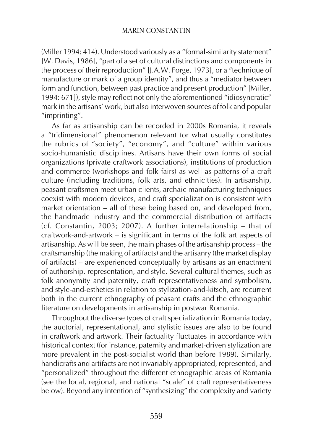(Miller 1994: 414). Understood variously as a "formal-similarity statement" [W. Davis, 1986], "part of a set of cultural distinctions and components in the process of their reproduction" [J.A.W. Forge, 1973], or a "technique of manufacture or mark of a group identity", and thus a "mediator between form and function, between past practice and present production" [Miller, 1994: 671]), style may reflect not only the aforementioned "idiosyncratic" mark in the artisans' work, but also interwoven sources of folk and popular "imprinting".

As far as artisanship can be recorded in 2000s Romania, it reveals a "tridimensional" phenomenon relevant for what usually constitutes the rubrics of "society", "economy", and "culture" within various socio-humanistic disciplines. Artisans have their own forms of social organizations (private craftwork associations), institutions of production and commerce (workshops and folk fairs) as well as patterns of a craft culture (including traditions, folk arts, and ethnicities). In artisanship, peasant craftsmen meet urban clients, archaic manufacturing techniques coexist with modern devices, and craft specialization is consistent with market orientation – all of these being based on, and developed from, the handmade industry and the commercial distribution of artifacts (cf. Constantin, 2003; 2007). A further interrelationship – that of craftwork-and-artwork – is significant in terms of the folk art aspects of artisanship. As will be seen, the main phases of the artisanship process – the craftsmanship (the making of artifacts) and the artisanry (the market display of artifacts) – are experienced conceptually by artisans as an enactment of authorship, representation, and style. Several cultural themes, such as folk anonymity and paternity, craft representativeness and symbolism, and style-and-esthetics in relation to stylization-and-kitsch, are recurrent both in the current ethnography of peasant crafts and the ethnographic literature on developments in artisanship in postwar Romania.

Throughout the diverse types of craft specialization in Romania today, the auctorial, representational, and stylistic issues are also to be found in craftwork and artwork. Their factuality fluctuates in accordance with historical context (for instance, paternity and market-driven stylization are more prevalent in the post-socialist world than before 1989). Similarly, handicrafts and artifacts are not invariably appropriated, represented, and "personalized" throughout the different ethnographic areas of Romania (see the local, regional, and national "scale" of craft representativeness below). Beyond any intention of "synthesizing" the complexity and variety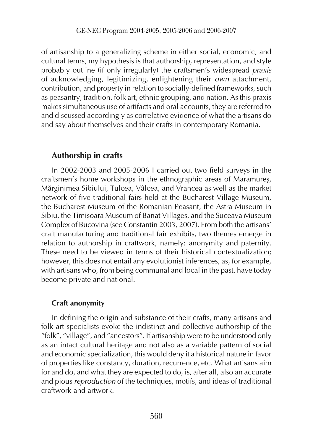of artisanship to a generalizing scheme in either social, economic, and cultural terms, my hypothesis is that authorship, representation, and style probably outline (if only irregularly) the craftsmen's widespread *praxis* of acknowledging, legitimizing, enlightening their *own* attachment, contribution, and property in relation to socially-defined frameworks, such as peasantry, tradition, folk art, ethnic grouping, and nation. As this praxis makes simultaneous use of artifacts and oral accounts, they are referred to and discussed accordingly as correlative evidence of what the artisans do and say about themselves and their crafts in contemporary Romania.

## **Authorship in crafts**

In 2002-2003 and 2005-2006 I carried out two field surveys in the craftsmen's home workshops in the ethnographic areas of Maramureş, Mărginimea Sibiului, Tulcea, Vâlcea, and Vrancea as well as the market network of five traditional fairs held at the Bucharest Village Museum, the Bucharest Museum of the Romanian Peasant, the Astra Museum in Sibiu, the Timisoara Museum of Banat Villages, and the Suceava Museum Complex of Bucovina (see Constantin 2003, 2007). From both the artisans' craft manufacturing and traditional fair exhibits, two themes emerge in relation to authorship in craftwork, namely: anonymity and paternity. These need to be viewed in terms of their historical contextualization; however, this does not entail any evolutionist inferences, as, for example, with artisans who, from being communal and local in the past, have today become private and national.

## **Craft anonymity**

In defining the origin and substance of their crafts, many artisans and folk art specialists evoke the indistinct and collective authorship of the "folk", "village", and "ancestors". If artisanship were to be understood only as an intact cultural heritage and not also as a variable pattern of social and economic specialization, this would deny it a historical nature in favor of properties like constancy, duration, recurrence, etc. What artisans aim for and do, and what they are expected to do, is, after all, also an accurate and pious *reproduction* of the techniques, motifs, and ideas of traditional craftwork and artwork.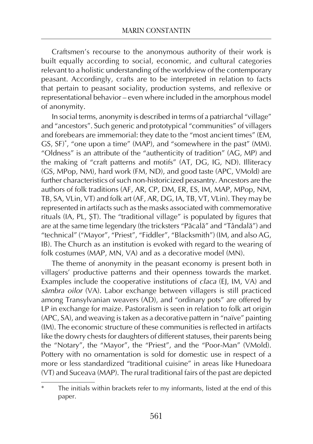Craftsmen's recourse to the anonymous authority of their work is built equally according to social, economic, and cultural categories relevant to a holistic understanding of the worldview of the contemporary peasant. Accordingly, crafts are to be interpreted in relation to facts that pertain to peasant sociality, production systems, and reflexive or representational behavior – even where included in the amorphous model of anonymity.

In social terms, anonymity is described in terms of a patriarchal "village" and "ancestors". Such generic and prototypical "communities" of villagers and forebears are immemorial: they date to the "most ancient times" (EM, GS, SF)\* , "one upon a time" (MAP), and "somewhere in the past" (MM). "Oldness" is an attribute of the "authenticity of tradition" (AG, MP) and the making of "craft patterns and motifs" (AT, DG, IG, ND). Illiteracy (GS, MPop, NM), hard work (FM, ND), and good taste (APC, VMold) are further characteristics of such non-historicized peasantry. Ancestors are the authors of folk traditions (AF, AR, CP, DM, ER, ES, IM, MAP, MPop, NM, TB, SA, VLin, VT) and folk art (AF, AR, DG, IA, TB, VT, VLin). They may be represented in artifacts such as the masks associated with commemorative rituals (IA, PL, ŞT). The "traditional village" is populated by figures that are at the same time legendary (the tricksters "Păcală" and "Tândală") and "technical" ("Mayor", "Priest", "Fiddler", "Blacksmith") (IM, and also AG, IB). The Church as an institution is evoked with regard to the wearing of folk costumes (MAP, MN, VA) and as a decorative model (MN).

The theme of anonymity in the peasant economy is present both in villagers' productive patterns and their openness towards the market. Examples include the cooperative institutions of *claca* (EJ, IM, VA) and *sâmbra oilor* (VA). Labor exchange between villagers is still practiced among Transylvanian weavers (AD), and "ordinary pots" are offered by LP in exchange for maize. Pastoralism is seen in relation to folk art origin (APC, SA), and weaving is taken as a decorative pattern in "naïve" painting (IM). The economic structure of these communities is reflected in artifacts like the dowry chests for daughters of different statuses, their parents being the "Notary", the "Mayor", the "Priest", and the "Poor-Man" (VMold). Pottery with no ornamentation is sold for domestic use in respect of a more or less standardized "traditional cuisine" in areas like Hunedoara (VT) and Suceava (MAP). The rural traditional fairs of the past are depicted

The initials within brackets refer to my informants, listed at the end of this paper.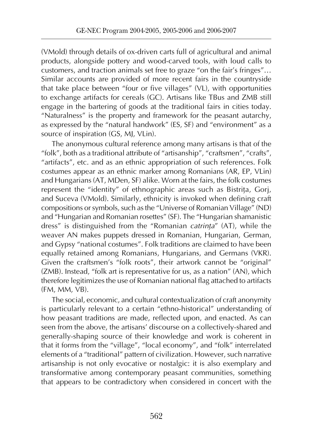(VMold) through details of ox-driven carts full of agricultural and animal products, alongside pottery and wood-carved tools, with loud calls to customers, and traction animals set free to graze "on the fair's fringes"… Similar accounts are provided of more recent fairs in the countryside that take place between "four or five villages" (VL), with opportunities to exchange artifacts for cereals (GC). Artisans like TBus and ZMB still engage in the bartering of goods at the traditional fairs in cities today. "Naturalness" is the property and framework for the peasant autarchy, as expressed by the "natural handwork" (ES, SF) and "environment" as a source of inspiration (GS, MJ, VLin).

The anonymous cultural reference among many artisans is that of the "folk", both as a traditional attribute of "artisanship", "craftsmen", "crafts", "artifacts", etc. and as an ethnic appropriation of such references. Folk costumes appear as an ethnic marker among Romanians (AR, EP, VLin) and Hungarians (AT, MDen, SF) alike. Worn at the fairs, the folk costumes represent the "identity" of ethnographic areas such as Bistriţa, Gorj, and Suceva (VMold). Similarly, ethnicity is invoked when defining craft compositions or symbols, such as the "Universe of Romanian Village" (ND) and "Hungarian and Romanian rosettes" (SF). The "Hungarian shamanistic dress" is distinguished from the "Romanian *catrinţa*" (AT), while the weaver AN makes puppets dressed in Romanian, Hungarian, German, and Gypsy "national costumes". Folk traditions are claimed to have been equally retained among Romanians, Hungarians, and Germans (VKR). Given the craftsmen's "folk roots", their artwork cannot be "original" (ZMB). Instead, "folk art is representative for us, as a nation" (AN), which therefore legitimizes the use of Romanian national flag attached to artifacts (FM, MM, VB).

The social, economic, and cultural contextualization of craft anonymity is particularly relevant to a certain "ethno-historical" understanding of how peasant traditions are made, reflected upon, and enacted. As can seen from the above, the artisans' discourse on a collectively-shared and generally-shaping source of their knowledge and work is coherent in that it forms from the "village", "local economy", and "folk" interrelated elements of a "traditional" pattern of civilization. However, such narrative artisanship is not only evocative or nostalgic: it is also exemplary and transformative among contemporary peasant communities, something that appears to be contradictory when considered in concert with the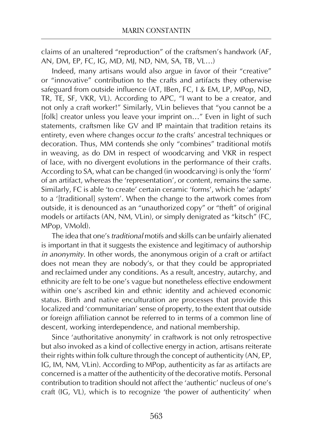claims of an unaltered "reproduction" of the craftsmen's handwork (AF, AN, DM, EP, FC, IG, MD, MJ, ND, NM, SA, TB, VL…)

Indeed, many artisans would also argue in favor of their "creative" or "innovative" contribution to the crafts and artifacts they otherwise safeguard from outside influence (AT, IBen, FC, I & EM, LP, MPop, ND, TR, TE, SF, VKR, VL). According to APC, "I want to be a creator, and not only a craft worker!" Similarly, VLin believes that "you cannot be a [folk] creator unless you leave your imprint on…" Even in light of such statements, craftsmen like GV and IP maintain that tradition retains its entirety, even where changes occur *to* the crafts' ancestral techniques or decoration. Thus, MM contends she only "combines" traditional motifs in weaving, as do DM in respect of woodcarving and VKR in respect of lace, with no divergent evolutions in the performance of their crafts. According to SA, what can be changed (in woodcarving) is only the 'form' of an artifact, whereas the 'representation', or content, remains the same. Similarly, FC is able 'to create' certain ceramic 'forms', which he 'adapts' to a '[traditional] system'. When the change to the artwork comes from outside, it is denounced as an "unauthorized copy" or "theft" of original models or artifacts (AN, NM, VLin), or simply denigrated as "kitsch" (FC, MPop, VMold).

The idea that one's *traditional* motifs and skills can be unfairly alienated is important in that it suggests the existence and legitimacy of authorship *in anonymity*. In other words, the anonymous origin of a craft or artifact does not mean they are nobody's, or that they could be appropriated and reclaimed under any conditions. As a result, ancestry, autarchy, and ethnicity are felt to be one's vague but nonetheless effective endowment within one's ascribed kin and ethnic identity and achieved economic status. Birth and native enculturation are processes that provide this localized and 'communitarian' sense of property, to the extent that outside or foreign affiliation cannot be referred to in terms of a common line of descent, working interdependence, and national membership.

Since 'authoritative anonymity' in craftwork is not only retrospective but also invoked as a kind of collective energy in action, artisans reiterate their rights within folk culture through the concept of authenticity (AN, EP, IG, IM, NM, VLin). According to MPop, authenticity as far as artifacts are concerned is a matter of the authenticity of the decorative motifs. Personal contribution to tradition should not affect the 'authentic' nucleus of one's craft (IG, VL), which is to recognize 'the power of authenticity' when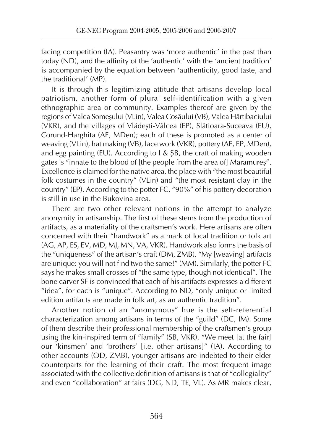facing competition (IA). Peasantry was 'more authentic' in the past than today (ND), and the affinity of the 'authentic' with the 'ancient tradition' is accompanied by the equation between 'authenticity, good taste, and the traditional' (MP).

It is through this legitimizing attitude that artisans develop local patriotism, another form of plural self-identification with a given ethnographic area or community. Examples thereof are given by the regions of Valea Someşului (VLin), Valea Cosăului (VB), Valea Hârtibaciului (VKR), and the villages of Vlădeşti-Vâlcea (EP), Slătioara-Suceava (EU), Corund-Harghita (AF, MDen); each of these is promoted as a center of weaving (VLin), hat making (VB), lace work (VKR), pottery (AF, EP, MDen), and egg painting (EU). According to I & ŞB, the craft of making wooden gates is "innate to the blood of [the people from the area of] Maramureş". Excellence is claimed for the native area, the place with "the most beautiful folk costumes in the country" (VLin) and "the most resistant clay in the country" (EP). According to the potter FC, "90%" of his pottery decoration is still in use in the Bukovina area.

There are two other relevant notions in the attempt to analyze anonymity in artisanship. The first of these stems from the production of artifacts, as a materiality of the craftsmen's work. Here artisans are often concerned with their "handwork" as a mark of local tradition or folk art (AG, AP, ES, EV, MD, MJ, MN, VA, VKR). Handwork also forms the basis of the "uniqueness" of the artisan's craft (DM, ZMB). "My [weaving] artifacts are unique: you will not find two the same!" (MM). Similarly, the potter FC says he makes small crosses of "the same type, though not identical". The bone carver SF is convinced that each of his artifacts expresses a different "idea", for each is "unique". According to ND, "only unique or limited edition artifacts are made in folk art, as an authentic tradition".

Another notion of an "anonymous" hue is the self-referential characterization among artisans in terms of the "guild" (DC, IM). Some of them describe their professional membership of the craftsmen's group using the kin-inspired term of "family" (SB, VKR). "We meet [at the fair] our 'kinsmen' and 'brothers' [i.e. other artisans]" (IA). According to other accounts (OD, ZMB), younger artisans are indebted to their elder counterparts for the learning of their craft. The most frequent image associated with the collective definition of artisans is that of "collegiality" and even "collaboration" at fairs (DG, ND, TE, VL). As MR makes clear,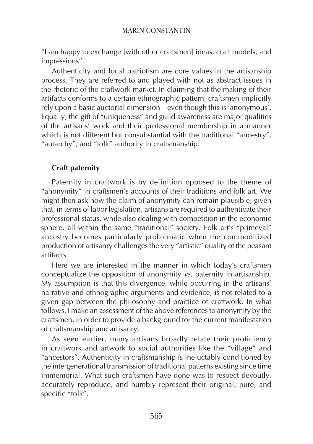"I am happy to exchange [with other craftsmen] ideas, craft models, and impressions".

Authenticity and local patriotism are core values in the artisanship process. They are referred to and played with not as abstract issues in the rhetoric of the craftwork market. In claiming that the making of their artifacts conforms to a certain ethnographic pattern, craftsmen implicitly rely upon a basic auctorial dimension – even though this is 'anonymous'. Equally, the gift of "uniqueness" and guild awareness are major qualities of the artisans' work and their professional membership in a manner which is not different but consubstantial with the traditional "ancestry", "autarchy", and "folk" authority in craftsmanship.

## **Craft paternity**

Paternity in craftwork is by definition opposed to the theme of "anonymity" in craftsmen's accounts of their traditions and folk art. We might then ask how the claim of anonymity can remain plausible, given that, in terms of labor legislation, artisans are required to authenticate their professional status, while also dealing with competition in the economic sphere, all within the same "traditional" society. Folk art's "primeval" ancestry becomes particularly problematic when the commoditized production of artisanry challenges the very "artistic" quality of the peasant artifacts.

Here we are interested in the manner in which today's craftsmen conceptualize the opposition of anonymity *vs.* paternity in artisanship. My assumption is that this divergence, while occurring in the artisans' narrative and ethnographic arguments and evidence, is not related to a given gap between the philosophy and practice of craftwork. In what follows, I make an assessment of the above references to anonymity by the craftsmen, in order to provide a background for the current manifestation of craftsmanship and artisanry.

As seen earlier, many artisans broadly relate their proficiency in craftwork and artwork to social authorities like the "village" and "ancestors". Authenticity in craftsmanship is ineluctably conditioned by the intergenerational transmission of traditional patterns existing since time immemorial. What such craftsmen have done was to respect devoutly, accurately reproduce, and humbly represent their original, pure, and specific "folk".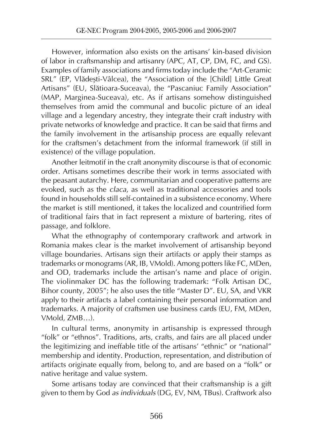However, information also exists on the artisans' kin-based division of labor in craftsmanship and artisanry (APC, AT, CP, DM, FC, and GS). Examples of family associations and firms today include the "Art-Ceramic SRL" (EP, Vlădeşti-Vâlcea), the "Association of the [Child] Little Great Artisans" (EU, Slătioara-Suceava), the "Pascaniuc Family Association" (MAP, Marginea-Suceava), etc. As if artisans somehow distinguished themselves from amid the communal and bucolic picture of an ideal village and a legendary ancestry, they integrate their craft industry with private networks of knowledge and practice. It can be said that firms and the family involvement in the artisanship process are equally relevant for the craftsmen's detachment from the informal framework (if still in existence) of the village population.

Another leitmotif in the craft anonymity discourse is that of economic order. Artisans sometimes describe their work in terms associated with the peasant autarchy. Here, communitarian and cooperative patterns are evoked, such as the *claca*, as well as traditional accessories and tools found in households still self-contained in a subsistence economy. Where the market is still mentioned, it takes the localized and countrified form of traditional fairs that in fact represent a mixture of bartering, rites of passage, and folklore.

What the ethnography of contemporary craftwork and artwork in Romania makes clear is the market involvement of artisanship beyond village boundaries. Artisans sign their artifacts or apply their stamps as trademarks or monograms (AR, IB, VMold). Among potters like FC, MDen, and OD, trademarks include the artisan's name and place of origin. The violinmaker DC has the following trademark: "Folk Artisan DC, Bihor county, 2005"; he also uses the title "Master D". EU, SA, and VKR apply to their artifacts a label containing their personal information and trademarks. A majority of craftsmen use business cards (EU, FM, MDen, VMold, ZMB…).

In cultural terms, anonymity in artisanship is expressed through "folk" or "ethnos". Traditions, arts, crafts, and fairs are all placed under the legitimizing and ineffable title of the artisans' "ethnic" or "national" membership and identity. Production, representation, and distribution of artifacts originate equally from, belong to, and are based on a "folk" or native heritage and value system.

Some artisans today are convinced that their craftsmanship is a gift given to them by God *as individuals* (DG, EV, NM, TBus). Craftwork also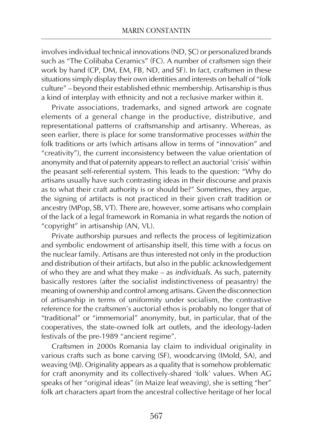involves individual technical innovations (ND, ŞC) or personalized brands such as "The Colibaba Ceramics" (FC). A number of craftsmen sign their work by hand (CP, DM, EM, FB, ND, and SF). In fact, craftsmen in these situations simply display their own identities and interests on behalf of "folk culture" – beyond their established ethnic membership. Artisanship is thus a kind of interplay with ethnicity and not a reclusive marker within it.

Private associations, trademarks, and signed artwork are cognate elements of a general change in the productive, distributive, and representational patterns of craftsmanship and artisanry. Whereas, as seen earlier, there is place for some transformative processes *within* the folk traditions or arts (which artisans allow in terms of "innovation" and "creativity"), the current inconsistency between the value orientation of anonymity and that of paternity appears to reflect an auctorial 'crisis' within the peasant self-referential system. This leads to the question: "Why do artisans usually have such contrasting ideas in their discourse and praxis as to what their craft authority is or should be?" Sometimes, they argue, the signing of artifacts is not practiced in their given craft tradition or ancestry (MPop, SB, VT). There are, however, some artisans who complain of the lack of a legal framework in Romania in what regards the notion of "copyright" in artisanship (AN, VL).

Private authorship pursues and reflects the process of legitimization and symbolic endowment of artisanship itself, this time with a focus on the nuclear family. Artisans are thus interested not only in the production and distribution of their artifacts, but also in the public acknowledgement of who they are and what they make – as *individuals*. As such, paternity basically restores (after the socialist indistinctiveness of peasantry) the meaning of ownership and control among artisans. Given the disconnection of artisanship in terms of uniformity under socialism, the contrastive reference for the craftsmen's auctorial ethos is probably no longer that of "traditional" or "immemorial" anonymity, but, in particular, that of the cooperatives, the state-owned folk art outlets, and the ideology-laden festivals of the pre-1989 "ancient regime".

Craftsmen in 2000s Romania lay claim to individual originality in various crafts such as bone carving (SF), woodcarving (IMold, SA), and weaving (MJ). Originality appears as a quality that is somehow problematic for craft anonymity and its collectively-shared 'folk' values. When AG speaks of her "original ideas" (in Maize leaf weaving), she is setting "her" folk art characters apart from the ancestral collective heritage of her local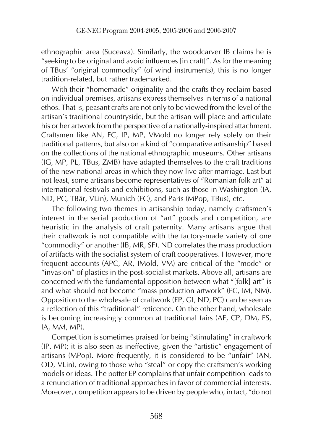ethnographic area (Suceava). Similarly, the woodcarver IB claims he is "seeking to be original and avoid influences [in craft]". As for the meaning of TBus' "original commodity" (of wind instruments), this is no longer tradition-related, but rather trademarked.

With their "homemade" originality and the crafts they reclaim based on individual premises, artisans express themselves in terms of a national ethos. That is, peasant crafts are not only to be viewed from the level of the artisan's traditional countryside, but the artisan will place and articulate his or her artwork from the perspective of a nationally-inspired attachment. Craftsmen like AN, FC, IP, MP, VMold no longer rely solely on their traditional patterns, but also on a kind of "comparative artisanship" based on the collections of the national ethnographic museums. Other artisans (IG, MP, PL, TBus, ZMB) have adapted themselves to the craft traditions of the new national areas in which they now live after marriage. Last but not least, some artisans become representatives of "Romanian folk art" at international festivals and exhibitions, such as those in Washington (IA, ND, PC, TBâr, VLin), Munich (FC), and Paris (MPop, TBus), etc.

The following two themes in artisanship today, namely craftsmen's interest in the serial production of "art" goods and competition, are heuristic in the analysis of craft paternity. Many artisans argue that their craftwork is not compatible with the factory-made variety of one "commodity" or another (IB, MR, SF). ND correlates the mass production of artifacts with the socialist system of craft cooperatives. However, more frequent accounts (APC, AR, IMold, VM) are critical of the "mode" or "invasion" of plastics in the post-socialist markets. Above all, artisans are concerned with the fundamental opposition between what "[folk] art" is and what should not become "mass production artwork" (FC, IM, NM). Opposition to the wholesale of craftwork (EP, GI, ND, PC) can be seen as a reflection of this "traditional" reticence. On the other hand, wholesale is becoming increasingly common at traditional fairs (AF, CP, DM, ES, IA, MM, MP).

Competition is sometimes praised for being "stimulating" in craftwork (IP, MP); it is also seen as ineffective, given the "artistic" engagement of artisans (MPop). More frequently, it is considered to be "unfair" (AN, OD, VLin), owing to those who "steal" or copy the craftsmen's working models or ideas. The potter EP complains that unfair competition leads to a renunciation of traditional approaches in favor of commercial interests. Moreover, competition appears to be driven by people who, in fact, "do not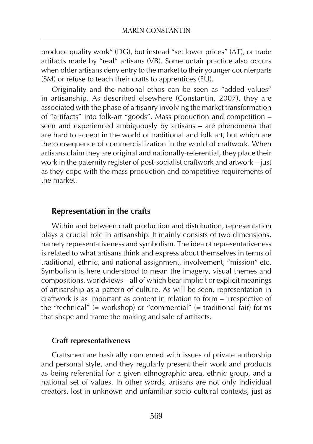produce quality work" (DG), but instead "set lower prices" (AT), or trade artifacts made by "real" artisans (VB). Some unfair practice also occurs when older artisans deny entry to the market to their younger counterparts (SM) or refuse to teach their crafts to apprentices (EU).

Originality and the national ethos can be seen as "added values" in artisanship. As described elsewhere (Constantin, 2007), they are associated with the phase of artisanry involving the market transformation of "artifacts" into folk-art "goods". Mass production and competition – seen and experienced ambiguously by artisans – are phenomena that are hard to accept in the world of traditional and folk art, but which are the consequence of commercialization in the world of craftwork. When artisans claim they are original and nationally-referential, they place their work in the paternity register of post-socialist craftwork and artwork – just as they cope with the mass production and competitive requirements of the market.

#### **Representation in the crafts**

Within and between craft production and distribution, representation plays a crucial role in artisanship. It mainly consists of two dimensions, namely representativeness and symbolism. The idea of representativeness is related to what artisans think and express about themselves in terms of traditional, ethnic, and national assignment, involvement, "mission" etc. Symbolism is here understood to mean the imagery, visual themes and compositions, worldviews – all of which bear implicit or explicit meanings of artisanship as a pattern of culture. As will be seen, representation in craftwork is as important as content in relation to form – irrespective of the "technical" (= workshop) or "commercial" (= traditional fair) forms that shape and frame the making and sale of artifacts.

#### **Craft representativeness**

Craftsmen are basically concerned with issues of private authorship and personal style, and they regularly present their work and products as being referential for a given ethnographic area, ethnic group, and a national set of values. In other words, artisans are not only individual creators, lost in unknown and unfamiliar socio-cultural contexts, just as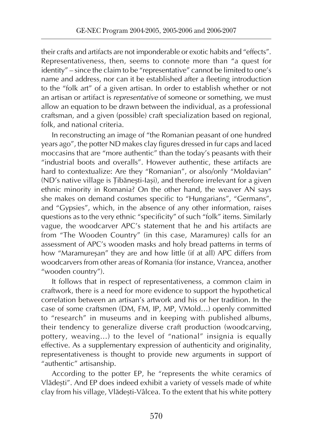their crafts and artifacts are not imponderable or exotic habits and "effects". Representativeness, then, seems to connote more than "a quest for identity" – since the claim to be "representative" cannot be limited to one's name and address, nor can it be established after a fleeting introduction to the "folk art" of a given artisan. In order to establish whether or not an artisan or artifact is *representative* of someone or something, we must allow an equation to be drawn between the individual, as a professional craftsman, and a given (possible) craft specialization based on regional, folk, and national criteria.

In reconstructing an image of "the Romanian peasant of one hundred years ago", the potter ND makes clay figures dressed in fur caps and laced moccasins that are "more authentic" than the today's peasants with their "industrial boots and overalls". However authentic, these artifacts are hard to contextualize: Are they "Romanian", or also/only "Moldavian" (ND's native village is Ţibăneşti-Iaşi), and therefore irrelevant for a given ethnic minority in Romania? On the other hand, the weaver AN says she makes on demand costumes specific to "Hungarians", "Germans", and "Gypsies", which, in the absence of any other information, raises questions as to the very ethnic "specificity" of such "folk" items. Similarly vague, the woodcarver APC's statement that he and his artifacts are from "The Wooden Country" (in this case, Maramureş) calls for an assessment of APC's wooden masks and holy bread patterns in terms of how "Maramureşan" they are and how little (if at all) APC differs from woodcarvers from other areas of Romania (for instance, Vrancea, another "wooden country").

It follows that in respect of representativeness, a common claim in craftwork, there is a need for more evidence to support the hypothetical correlation between an artisan's artwork and his or her tradition. In the case of some craftsmen (DM, FM, IP, MP, VMold…) openly committed to "research" in museums and in keeping with published albums, their tendency to generalize diverse craft production (woodcarving, pottery, weaving…) to the level of "national" insignia is equally effective. As a supplementary expression of authenticity and originality, representativeness is thought to provide new arguments in support of "authentic" artisanship.

According to the potter EP, he "represents the white ceramics of Vlădeşti". And EP does indeed exhibit a variety of vessels made of white clay from his village, Vlădeşti-Vâlcea. To the extent that his white pottery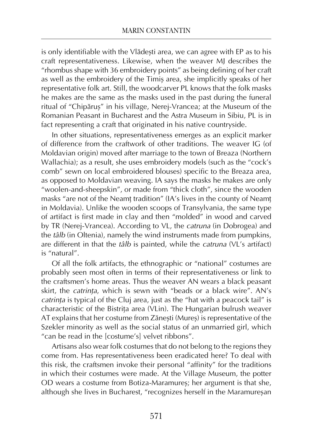is only identifiable with the Vlădeşti area, we can agree with EP as to his craft representativeness. Likewise, when the weaver MJ describes the "rhombus shape with 36 embroidery points" as being defining of her craft as well as the embroidery of the Timiş area, she implicitly speaks of her representative folk art. Still, the woodcarver PL knows that the folk masks he makes are the same as the masks used in the past during the funeral ritual of "Chipăruş" in his village, Nerej-Vrancea; at the Museum of the Romanian Peasant in Bucharest and the Astra Museum in Sibiu, PL is in fact representing a craft that originated in his native countryside.

In other situations, representativeness emerges as an explicit marker of difference from the craftwork of other traditions. The weaver IG (of Moldavian origin) moved after marriage to the town of Breaza (Northern Wallachia); as a result, she uses embroidery models (such as the "cock's comb" sewn on local embroidered blouses) specific to the Breaza area, as opposed to Moldavian weaving. IA says the masks he makes are only "woolen-and-sheepskin", or made from "thick cloth", since the wooden masks "are not of the Neamţ tradition" (IA's lives in the county of Neamţ in Moldavia). Unlike the wooden scoops of Transylvania, the same type of artifact is first made in clay and then "molded" in wood and carved by TR (Nerej-Vrancea). According to VL, the *catruna* (in Dobrogea) and the *tâlb* (in Oltenia), namely the wind instruments made from pumpkins, are different in that the *tâlb* is painted, while the *catruna* (VL's artifact) is "natural".

Of all the folk artifacts, the ethnographic or "national" costumes are probably seen most often in terms of their representativeness or link to the craftsmen's home areas. Thus the weaver AN wears a black peasant skirt, the *catrinţa*, which is sewn with "beads or a black wire". AN's *catrinţa* is typical of the Cluj area, just as the "hat with a peacock tail" is characteristic of the Bistriţa area (VLin). The Hungarian bulrush weaver AT explains that her costume from Zăneşti (Mureş) is representative of the Szekler minority as well as the social status of an unmarried girl, which "can be read in the [costume's] velvet ribbons".

Artisans also wear folk costumes that do not belong to the regions they come from. Has representativeness been eradicated here? To deal with this risk, the craftsmen invoke their personal "affinity" for the traditions in which their costumes were made. At the Village Museum, the potter OD wears a costume from Botiza-Maramureş; her argument is that she, although she lives in Bucharest, "recognizes herself in the Maramureşan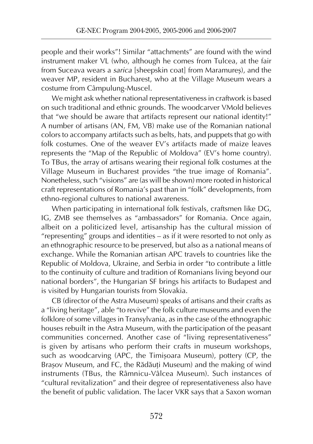people and their works"! Similar "attachments" are found with the wind instrument maker VL (who, although he comes from Tulcea, at the fair from Suceava wears a *sarica* [sheepskin coat] from Maramureş), and the weaver MP, resident in Bucharest, who at the Village Museum wears a costume from Câmpulung-Muscel.

We might ask whether national representativeness in craftwork is based on such traditional and ethnic grounds. The woodcarver VMold believes that "we should be aware that artifacts represent our national identity!" A number of artisans (AN, FM, VB) make use of the Romanian national colors to accompany artifacts such as belts, hats, and puppets that go with folk costumes. One of the weaver EV's artifacts made of maize leaves represents the "Map of the Republic of Moldova" (EV's home country). To TBus, the array of artisans wearing their regional folk costumes at the Village Museum in Bucharest provides "the true image of Romania". Nonetheless, such "visions" are (as will be shown) more rooted in historical craft representations of Romania's past than in "folk" developments, from ethno-regional cultures to national awareness.

When participating in international folk festivals, craftsmen like DG, IG, ZMB see themselves as "ambassadors" for Romania. Once again, albeit on a politicized level, artisanship has the cultural mission of "representing" groups and identities – as if it were resorted to not only as an ethnographic resource to be preserved, but also as a national means of exchange. While the Romanian artisan APC travels to countries like the Republic of Moldova, Ukraine, and Serbia in order "to contribute a little to the continuity of culture and tradition of Romanians living beyond our national borders", the Hungarian SF brings his artifacts to Budapest and is visited by Hungarian tourists from Slovakia.

CB (director of the Astra Museum) speaks of artisans and their crafts as a "living heritage", able "to revive" the folk culture museums and even the folklore of some villages in Transylvania, as in the case of the ethnographic houses rebuilt in the Astra Museum, with the participation of the peasant communities concerned. Another case of "living representativeness" is given by artisans who perform their crafts in museum workshops, such as woodcarving (APC, the Timişoara Museum), pottery (CP, the Braşov Museum, and FC, the Rădăuţi Museum) and the making of wind instruments (TBus, the Râmnicu-Vâlcea Museum). Such instances of "cultural revitalization" and their degree of representativeness also have the benefit of public validation. The lacer VKR says that a Saxon woman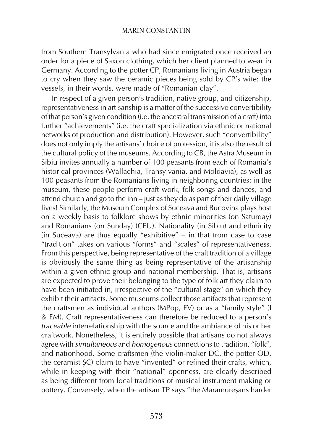from Southern Transylvania who had since emigrated once received an order for a piece of Saxon clothing, which her client planned to wear in Germany. According to the potter CP, Romanians living in Austria began to cry when they saw the ceramic pieces being sold by CP's wife: the vessels, in their words, were made of "Romanian clay".

In respect of a given person's tradition, native group, and citizenship, representativeness in artisanship is a matter of the successive convertibility of that person's given condition (i.e. the ancestral transmission of a craft) into further "achievements" (i.e. the craft specialization via ethnic or national networks of production and distribution). However, such "convertibility" does not only imply the artisans' choice of profession, it is also the result of the cultural policy of the museums. According to CB, the Astra Museum in Sibiu invites annually a number of 100 peasants from each of Romania's historical provinces (Wallachia, Transylvania, and Moldavia), as well as 100 peasants from the Romanians living in neighboring countries: in the museum, these people perform craft work, folk songs and dances, and attend church and go to the inn – just as they do as part of their daily village lives! Similarly, the Museum Complex of Suceava and Bucovina plays host on a weekly basis to folklore shows by ethnic minorities (on Saturday) and Romanians (on Sunday) (CEU). Nationality (in Sibiu) and ethnicity (in Suceava) are thus equally "exhibitive" – in that from case to case "tradition" takes on various "forms" and "scales" of representativeness. From this perspective, being representative of the craft tradition of a village is obviously the same thing as being representative of the artisanship within a given ethnic group and national membership. That is, artisans are expected to prove their belonging to the type of folk art they claim to have been initiated in, irrespective of the "cultural stage" on which they exhibit their artifacts. Some museums collect those artifacts that represent the craftsmen as individual authors (MPop, EV) or as a "family style" (I & EM). Craft representativeness can therefore be reduced to a person's *traceable* interrelationship with the source and the ambiance of his or her craftwork. Nonetheless, it is entirely possible that artisans do not always agree with *simultaneous* and *homogenous* connections to tradition, "folk", and nationhood. Some craftsmen (the violin-maker DC, the potter OD, the ceramist ŞC) claim to have "invented" or refined their crafts, which, while in keeping with their "national" openness, are clearly described as being different from local traditions of musical instrument making or pottery. Conversely, when the artisan TP says "the Maramureşans harder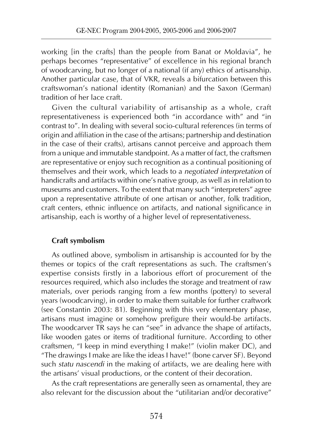working [in the crafts] than the people from Banat or Moldavia", he perhaps becomes "representative" of excellence in his regional branch of woodcarving, but no longer of a national (if any) ethics of artisanship. Another particular case, that of VKR, reveals a bifurcation between this craftswoman's national identity (Romanian) and the Saxon (German) tradition of her lace craft.

Given the cultural variability of artisanship as a whole, craft representativeness is experienced both "in accordance with" and "in contrast to". In dealing with several socio-cultural references (in terms of origin and affiliation in the case of the artisans; partnership and destination in the case of their crafts), artisans cannot perceive and approach them from a unique and immutable standpoint. As a matter of fact, the craftsmen are representative or enjoy such recognition as a continual positioning of themselves and their work, which leads to a *negotiated interpretation* of handicrafts and artifacts within one's native group, as well as in relation to museums and customers. To the extent that many such "interpreters" agree upon a representative attribute of one artisan or another, folk tradition, craft centers, ethnic influence on artifacts, and national significance in artisanship, each is worthy of a higher level of representativeness.

## **Craft symbolism**

As outlined above, symbolism in artisanship is accounted for by the themes or topics of the craft representations as such. The craftsmen's expertise consists firstly in a laborious effort of procurement of the resources required, which also includes the storage and treatment of raw materials, over periods ranging from a few months (pottery) to several years (woodcarving), in order to make them suitable for further craftwork (see Constantin 2003: 81). Beginning with this very elementary phase, artisans must imagine or somehow prefigure their would-be artifacts. The woodcarver TR says he can "see" in advance the shape of artifacts, like wooden gates or items of traditional furniture. According to other craftsmen, "I keep in mind everything I make!" (violin maker DC), and "The drawings I make are like the ideas I have!" (bone carver SF). Beyond such *statu nascendi* in the making of artifacts, we are dealing here with the artisans' visual productions, or the content of their decoration.

As the craft representations are generally seen as ornamental, they are also relevant for the discussion about the "utilitarian and/or decorative"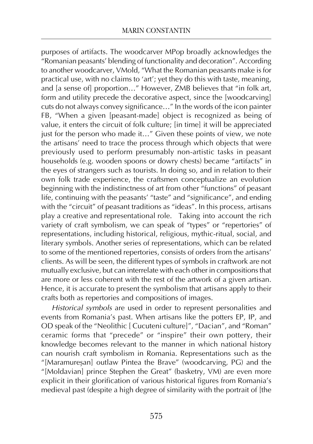purposes of artifacts. The woodcarver MPop broadly acknowledges the "Romanian peasants' blending of functionality and decoration". According to another woodcarver, VMold, "What the Romanian peasants make is for practical use, with no claims to 'art'; yet they do this with taste, meaning, and [a sense of] proportion…" However, ZMB believes that "in folk art, form and utility precede the decorative aspect, since the [woodcarving] cuts do not always convey significance…" In the words of the icon painter FB, "When a given [peasant-made] object is recognized as being of value, it enters the circuit of folk culture; [in time] it will be appreciated just for the person who made it..." Given these points of view, we note the artisans' need to trace the process through which objects that were previously used to perform presumably non-artistic tasks in peasant households (e.g. wooden spoons or dowry chests) became "artifacts" in the eyes of strangers such as tourists. In doing so, and in relation to their own folk trade experience, the craftsmen conceptualize an evolution beginning with the indistinctness of art from other "functions" of peasant life, continuing with the peasants' "taste" and "significance", and ending with the "circuit" of peasant traditions as "ideas". In this process, artisans play a creative and representational role. Taking into account the rich variety of craft symbolism, we can speak of "types" or "repertories" of representations, including historical, religious, mythic-ritual, social, and literary symbols. Another series of representations, which can be related to some of the mentioned repertories, consists of orders from the artisans' clients. As will be seen, the different types of symbols in craftwork are not mutually exclusive, but can interrelate with each other in compositions that are more or less coherent with the rest of the artwork of a given artisan. Hence, it is accurate to present the symbolism that artisans apply to their crafts both as repertories and compositions of images.

*Historical symbols* are used in order to represent personalities and events from Romania's past. When artisans like the potters EP, IP, and OD speak of the "Neolithic [ Cucuteni culture]", "Dacian", and "Roman" ceramic forms that "precede" or "inspire" their own pottery, their knowledge becomes relevant to the manner in which national history can nourish craft symbolism in Romania. Representations such as the "[Maramureşan] outlaw Pintea the Brave" (woodcarving, PG) and the "[Moldavian] prince Stephen the Great" (basketry, VM) are even more explicit in their glorification of various historical figures from Romania's medieval past (despite a high degree of similarity with the portrait of [the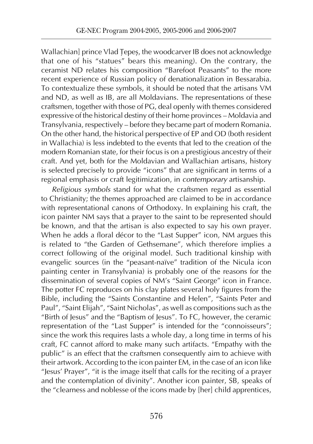Wallachian] prince Vlad Ţepeş, the woodcarver IB does not acknowledge that one of his "statues" bears this meaning). On the contrary, the ceramist ND relates his composition "Barefoot Peasants" to the more recent experience of Russian policy of denationalization in Bessarabia. To contextualize these symbols, it should be noted that the artisans VM and ND, as well as IB, are all Moldavians. The representations of these craftsmen, together with those of PG, deal openly with themes considered expressive of the historical destiny of their home provinces – Moldavia and Transylvania, respectively – before they became part of modern Romania. On the other hand, the historical perspective of EP and OD (both resident in Wallachia) is less indebted to the events that led to the creation of the modern Romanian state, for their focus is on a prestigious ancestry of their craft. And yet, both for the Moldavian and Wallachian artisans, history is selected precisely to provide "icons" that are significant in terms of a regional emphasis or craft legitimization, in *contemporary* artisanship.

*Religious symbols* stand for what the craftsmen regard as essential to Christianity; the themes approached are claimed to be in accordance with representational canons of Orthodoxy. In explaining his craft, the icon painter NM says that a prayer to the saint to be represented should be known, and that the artisan is also expected to say his own prayer. When he adds a floral décor to the "Last Supper" icon, NM argues this is related to "the Garden of Gethsemane", which therefore implies a correct following of the original model. Such traditional kinship with evangelic sources (in the "peasant-naïve" tradition of the Nicula icon painting center in Transylvania) is probably one of the reasons for the dissemination of several copies of NM's "Saint George" icon in France. The potter FC reproduces on his clay plates several holy figures from the Bible, including the "Saints Constantine and Helen", "Saints Peter and Paul", "Saint Elijah", "Saint Nicholas", as well as compositions such as the "Birth of Jesus" and the "Baptism of Jesus". To FC, however, the ceramic representation of the "Last Supper" is intended for the "connoisseurs"; since the work this requires lasts a whole day, a long time in terms of his craft, FC cannot afford to make many such artifacts. "Empathy with the public" is an effect that the craftsmen consequently aim to achieve with their artwork. According to the icon painter EM, in the case of an icon like "Jesus' Prayer", "it is the image itself that calls for the reciting of a prayer and the contemplation of divinity". Another icon painter, SB, speaks of the "clearness and noblesse of the icons made by [her] child apprentices,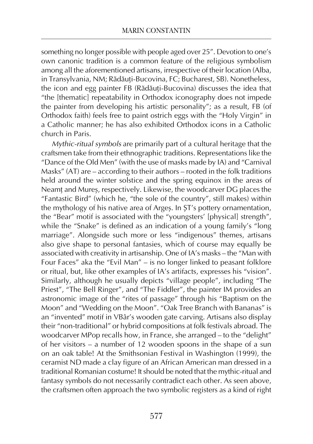something no longer possible with people aged over 25". Devotion to one's own canonic tradition is a common feature of the religious symbolism among all the aforementioned artisans, irrespective of their location (Alba, in Transylvania, NM; Rădăuţi-Bucovina, FC; Bucharest, SB). Nonetheless, the icon and egg painter FB (Rădăuţi-Bucovina) discusses the idea that "the [thematic] repeatability in Orthodox iconography does not impede the painter from developing his artistic personality"; as a result, FB (of Orthodox faith) feels free to paint ostrich eggs with the "Holy Virgin" in a Catholic manner; he has also exhibited Orthodox icons in a Catholic church in Paris.

*Mythic-ritual symbols* are primarily part of a cultural heritage that the craftsmen take from their ethnographic traditions. Representations like the "Dance of the Old Men" (with the use of masks made by IA) and "Carnival Masks" (AT) are – according to their authors – rooted in the folk traditions held around the winter solstice and the spring equinox in the areas of Neamţ and Mureş, respectively. Likewise, the woodcarver DG places the "Fantastic Bird" (which he, "the sole of the country", still makes) within the mythology of his native area of Argeş. In ŞT's pottery ornamentation, the "Bear" motif is associated with the "youngsters' [physical] strength", while the "Snake" is defined as an indication of a young family's "long marriage". Alongside such more or less "indigenous" themes, artisans also give shape to personal fantasies, which of course may equally be associated with creativity in artisanship. One of IA's masks – the "Man with Four Faces" aka the "Evil Man" – is no longer linked to peasant folklore or ritual, but, like other examples of IA's artifacts, expresses his "vision". Similarly, although he usually depicts "village people", including "The Priest", "The Bell Ringer", and "The Fiddler", the painter IM provides an astronomic image of the "rites of passage" through his "Baptism on the Moon" and "Wedding on the Moon". "Oak Tree Branch with Bananas" is an "invented" motif in VBâr's wooden gate carving. Artisans also display their "non-traditional" or hybrid compositions at folk festivals abroad. The woodcarver MPop recalls how, in France, she arranged – to the "delight" of her visitors – a number of 12 wooden spoons in the shape of a sun on an oak table! At the Smithsonian Festival in Washington (1999), the ceramist ND made a clay figure of an African American man dressed in a traditional Romanian costume! It should be noted that the mythic-ritual and fantasy symbols do not necessarily contradict each other. As seen above, the craftsmen often approach the two symbolic registers as a kind of right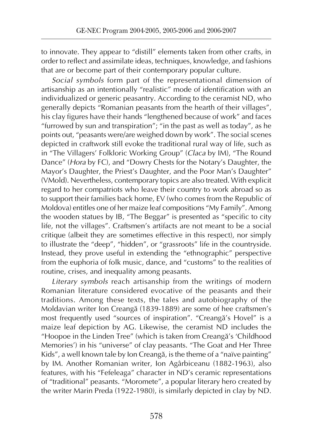to innovate. They appear to "distill" elements taken from other crafts, in order to reflect and assimilate ideas, techniques, knowledge, and fashions that are or become part of their contemporary popular culture.

*Social symbols* form part of the representational dimension of artisanship as an intentionally "realistic" mode of identification with an individualized or generic peasantry. According to the ceramist ND, who generally depicts "Romanian peasants from the hearth of their villages", his clay figures have their hands "lengthened because of work" and faces "furrowed by sun and transpiration"; "in the past as well as today", as he points out, "peasants were/are weighed down by work". The social scenes depicted in craftwork still evoke the traditional rural way of life, such as in "The Villagers' Folkloric Working Group" (*Claca* by IM), "The Round Dance" (*Hora* by FC), and "Dowry Chests for the Notary's Daughter, the Mayor's Daughter, the Priest's Daughter, and the Poor Man's Daughter" (VMold). Nevertheless, contemporary topics are also treated. With explicit regard to her compatriots who leave their country to work abroad so as to support their families back home, EV (who comes from the Republic of Moldova) entitles one of her maize leaf compositions "My Family". Among the wooden statues by IB, "The Beggar" is presented as "specific to city life, not the villages". Craftsmen's artifacts are not meant to be a social critique (albeit they are sometimes effective in this respect), nor simply to illustrate the "deep", "hidden", or "grassroots" life in the countryside. Instead, they prove useful in extending the "ethnographic" perspective from the euphoria of folk music, dance, and "customs" to the realities of routine, crises, and inequality among peasants.

*Literary symbols* reach artisanship from the writings of modern Romanian literature considered evocative of the peasants and their traditions. Among these texts, the tales and autobiography of the Moldavian writer Ion Creangă (1839-1889) are some of hee craftsmen's most frequently used "sources of inspiration". "Creangă's Hovel" is a maize leaf depiction by AG. Likewise, the ceramist ND includes the "Hoopoe in the Linden Tree" (which is taken from Creangă's 'Childhood Memories') in his "universe" of clay peasants. "The Goat and Her Three Kids", a well known tale by Ion Creangă, is the theme of a "naïve painting" by IM. Another Romanian writer, Ion Agârbiceanu (1882-1963), also features, with his "Fefeleaga" character in ND's ceramic representations of "traditional" peasants. "Moromete", a popular literary hero created by the writer Marin Preda (1922-1980), is similarly depicted in clay by ND.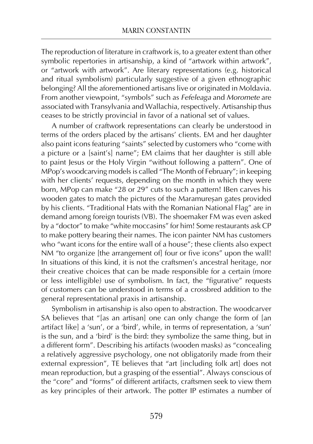The reproduction of literature in craftwork is, to a greater extent than other symbolic repertories in artisanship, a kind of "artwork within artwork", or "artwork with artwork". Are literary representations (e.g. historical and ritual symbolism) particularly suggestive of a given ethnographic belonging? All the aforementioned artisans live or originated in Moldavia. From another viewpoint, "symbols" such as *Fefeleaga* and *Moromete* are associated with Transylvania and Wallachia, respectively. Artisanship thus ceases to be strictly provincial in favor of a national set of values.

A number of craftwork representations can clearly be understood in terms of the orders placed by the artisans' clients. EM and her daughter also paint icons featuring "saints" selected by customers who "come with a picture or a [saint's] name"; EM claims that her daughter is still able to paint Jesus or the Holy Virgin "without following a pattern". One of MPop's woodcarving models is called "The Month of February"; in keeping with her clients' requests, depending on the month in which they were born, MPop can make "28 or 29" cuts to such a pattern! IBen carves his wooden gates to match the pictures of the Maramureşan gates provided by his clients. "Traditional Hats with the Romanian National Flag" are in demand among foreign tourists (VB). The shoemaker FM was even asked by a "doctor" to make "white moccasins" for him! Some restaurants ask CP to make pottery bearing their names. The icon painter NM has customers who "want icons for the entire wall of a house"; these clients also expect NM "to organize [the arrangement of] four or five icons" upon the wall! In situations of this kind, it is not the craftsmen's ancestral heritage, nor their creative choices that can be made responsible for a certain (more or less intelligible) use of symbolism. In fact, the "figurative" requests of customers can be understood in terms of a crossbred addition to the general representational praxis in artisanship.

Symbolism in artisanship is also open to abstraction. The woodcarver SA believes that "[as an artisan] one can only change the form of [an artifact like] a 'sun', or a 'bird', while, in terms of representation, a 'sun' is the sun, and a 'bird' is the bird: they symbolize the same thing, but in a different form". Describing his artifacts (wooden masks) as "concealing a relatively aggressive psychology, one not obligatorily made from their external expression", TE believes that "art [including folk art] does not mean reproduction, but a grasping of the essential". Always conscious of the "core" and "forms" of different artifacts, craftsmen seek to view them as key principles of their artwork. The potter IP estimates a number of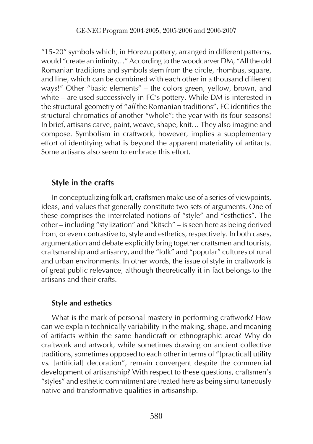"15-20" symbols which, in Horezu pottery, arranged in different patterns, would "create an infinity…" According to the woodcarver DM, "All the old Romanian traditions and symbols stem from the circle, rhombus, square, and line, which can be combined with each other in a thousand different ways!" Other "basic elements" – the colors green, yellow, brown, and white – are used successively in FC's pottery. While DM is interested in the structural geometry of "*all* the Romanian traditions", FC identifies the structural chromatics of another "whole": the year with its four seasons! In brief, artisans carve, paint, weave, shape, knit… They also imagine and compose. Symbolism in craftwork, however, implies a supplementary effort of identifying what is beyond the apparent materiality of artifacts. Some artisans also seem to embrace this effort.

## **Style in the crafts**

In conceptualizing folk art, craftsmen make use of a series of viewpoints, ideas, and values that generally constitute two sets of arguments. One of these comprises the interrelated notions of "style" and "esthetics". The other – including "stylization" and "kitsch" – is seen here as being derived from, or even contrastive to, style and esthetics, respectively. In both cases, argumentation and debate explicitly bring together craftsmen and tourists, craftsmanship and artisanry, and the "folk" and "popular" cultures of rural and urban environments. In other words, the issue of style in craftwork is of great public relevance, although theoretically it in fact belongs to the artisans and their crafts.

## **Style and esthetics**

What is the mark of personal mastery in performing craftwork? How can we explain technically variability in the making, shape, and meaning of artifacts within the same handicraft or ethnographic area? Why do craftwork and artwork, while sometimes drawing on ancient collective traditions, sometimes opposed to each other in terms of "[practical] utility *vs*. [artificial] decoration", remain convergent despite the commercial development of artisanship? With respect to these questions, craftsmen's "styles" and esthetic commitment are treated here as being simultaneously native and transformative qualities in artisanship.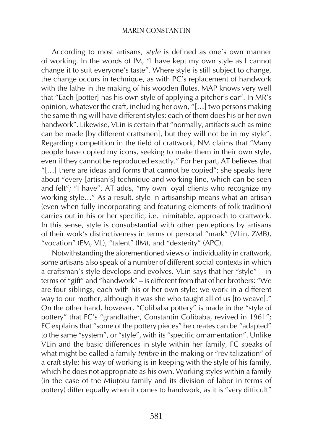According to most artisans, *style* is defined as one's own manner of working. In the words of IM, "I have kept my own style as I cannot change it to suit everyone's taste". Where style is still subject to change, the change occurs in technique, as with PC's replacement of handwork with the lathe in the making of his wooden flutes. MAP knows very well that "Each [potter] has his own style of applying a pitcher's ear". In MR's opinion, whatever the craft, including her own, "[…] two persons making the same thing will have different styles: each of them does his or her own handwork". Likewise, VLin is certain that "normally, artifacts such as mine can be made [by different craftsmen], but they will not be in my style". Regarding competition in the field of craftwork, NM claims that "Many people have copied my icons, seeking to make them in their own style, even if they cannot be reproduced exactly." For her part, AT believes that "[…] there are ideas and forms that cannot be copied"; she speaks here about "every [artisan's] technique and working line, which can be seen and felt"; "I have", AT adds, "my own loyal clients who recognize my working style…" As a result, style in artisanship means what an artisan (even when fully incorporating and featuring elements of folk tradition) carries out in his or her specific, i.e. inimitable, approach to craftwork. In this sense, style is consubstantial with other perceptions by artisans of their work's distinctiveness in terms of personal "mark" (VLin, ZMB), "vocation" (EM, VL), "talent" (IM), and "dexterity" (APC).

Notwithstanding the aforementioned views of individuality in craftwork, some artisans also speak of a number of different social contexts in which a craftsman's style develops and evolves. VLin says that her "style" – in terms of "gift" and "handwork" – is different from that of her brothers: "We are four siblings, each with his or her own style; we work in a different way to our mother, although it was she who taught all of us [to weave]." On the other hand, however, "Colibaba pottery" is made in the "style of pottery" that FC's "grandfather, Constantin Colibaba, revived in 1961"; FC explains that "some of the pottery pieces" he creates can be "adapted" to the same "system", or "style", with its "specific ornamentation". Unlike VLin and the basic differences in style within her family, FC speaks of what might be called a family *timbre* in the making or "revitalization" of a craft style; his way of working is in keeping with the style of his family, which he does not appropriate as his own. Working styles within a family (in the case of the Miuţoiu family and its division of labor in terms of pottery) differ equally when it comes to handwork, as it is "very difficult"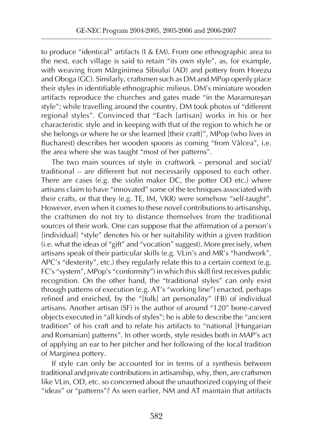to produce "identical" artifacts (I & EM). From one ethnographic area to the next, each village is said to retain "its own style", as, for example, with weaving from Mărginimea Sibiului (AD) and pottery from Horezu and Oboga (GC). Similarly, craftsmen such as DM and MPop openly place their styles in identifiable ethnographic milieus. DM's miniature wooden artifacts reproduce the churches and gates made "in the Maramureşan style"; while travelling around the country, DM took photos of "different regional styles". Convinced that "Each [artisan] works in his or her characteristic style and in keeping with that of the region to which he or she belongs or where he or she learned [their craft]", MPop (who lives in Bucharest) describes her wooden spoons as coming "from Vâlcea", i.e. the area where she was taught "most of her patterns".

The two main sources of style in craftwork – personal and social/ traditional – are different but not necessarily opposed to each other. There are cases (e.g. the violin maker DC, the potter OD etc.) where artisans claim to have "innovated" some of the techniques associated with their crafts, or that they (e.g. TE, IM, VKR) were somehow "self-taught". However, even when it comes to these novel contributions to artisanship, the craftsmen do not try to distance themselves from the traditional sources of their work. One can suppose that the affirmation of a person's [individual] "style" denotes his or her suitability within a given tradition (i.e. what the ideas of "gift" and "vocation" suggest). More precisely, when artisans speak of their particular skills (e.g. VLin's and MR's "handwork", APC's "dexterity", etc.) they regularly relate this to a certain context (e.g. FC's "system", MPop's "conformity") in which this skill first receives public recognition. On the other hand, the "traditional styles" can only exist through patterns of execution (e.g. AT's "working line") enacted, perhaps refined and enriched, by the "[folk] art personality" (FB) of individual artisans. Another artisan (SF) is the author of around "120" bone-carved objects executed in "all kinds of styles"; he is able to describe the "ancient tradition" of his craft and to relate his artifacts to "national [Hungarian and Romanian] patterns". In other words, style resides both in MAP's act of applying an ear to her pitcher and her following of the local tradition of Marginea pottery.

If style can only be accounted for in terms of a synthesis between traditional and private contributions in artisanship, why, then, are craftsmen like VLin, OD, etc. so concerned about the unauthorized copying of their "ideas" or "patterns"? As seen earlier, NM and AT maintain that artifacts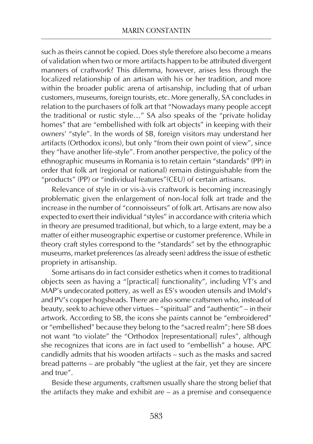such as theirs cannot be copied. Does style therefore also become a means of validation when two or more artifacts happen to be attributed divergent manners of craftwork? This dilemma, however, arises less through the localized relationship of an artisan with his or her tradition, and more within the broader public arena of artisanship, including that of urban customers, museums, foreign tourists, etc. More generally, SA concludes in relation to the purchasers of folk art that "Nowadays many people accept the traditional or rustic style…" SA also speaks of the "private holiday homes" that are "embellished with folk art objects" in keeping with their owners' "style". In the words of SB, foreign visitors may understand her artifacts (Orthodox icons), but only "from their own point of view", since they "have another life-style". From another perspective, the policy of the ethnographic museums in Romania is to retain certain "standards" (PP) in order that folk art (regional or national) remain distinguishable from the "products" (PP) or "individual features"(CEU) of certain artisans.

Relevance of style in or vis-à-vis craftwork is becoming increasingly problematic given the enlargement of non-local folk art trade and the increase in the number of "connoisseurs" of folk art. Artisans are now also expected to exert their individual "styles" in accordance with criteria which in theory are presumed traditional, but which, to a large extent, may be a matter of either museographic expertise or customer preference. While in theory craft styles correspond to the "standards" set by the ethnographic museums, market preferences (as already seen) address the issue of esthetic propriety in artisanship.

Some artisans do in fact consider esthetics when it comes to traditional objects seen as having a "[practical] functionality", including VT's and MAP's undecorated pottery, as well as ES's wooden utensils and IMold's and PV's copper hogsheads. There are also some craftsmen who, instead of beauty, seek to achieve other virtues – "spiritual" and "authentic" – in their artwork. According to SB, the icons she paints cannot be "embroidered" or "embellished" because they belong to the "sacred realm"; here SB does not want "to violate" the "Orthodox [representational] rules", although she recognizes that icons are in fact used to "embellish" a house. APC candidly admits that his wooden artifacts – such as the masks and sacred bread patterns – are probably "the ugliest at the fair, yet they are sincere and true".

Beside these arguments, craftsmen usually share the strong belief that the artifacts they make and exhibit are – as a premise and consequence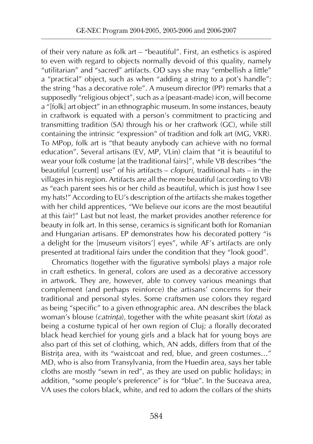of their very nature as folk art – "beautiful". First, an esthetics is aspired to even with regard to objects normally devoid of this quality, namely "utilitarian" and "sacred" artifacts. OD says she may "embellish a little" a "practical" object, such as when "adding a string to a pot's handle": the string "has a decorative role". A museum director (PP) remarks that a supposedly "religious object", such as a (peasant-made) icon, will become a "[folk] art object" in an ethnographic museum. In some instances, beauty in craftwork is equated with a person's commitment to practicing and transmitting tradition (SA) through his or her craftwork (GC), while still containing the intrinsic "expression" of tradition and folk art (MG, VKR). To MPop, folk art is "that beauty anybody can achieve with no formal education". Several artisans (EV, MP, VLin) claim that "it is beautiful to wear your folk costume [at the traditional fairs]", while VB describes "the beautiful [current] use" of his artifacts – *clopuri*, traditional hats – in the villages in his region. Artifacts are all the more beautiful (according to VB) as "each parent sees his or her child as beautiful, which is just how I see my hats!" According to EU's description of the artifacts she makes together with her child apprentices, "We believe our icons are the most beautiful at this fair!" Last but not least, the market provides another reference for beauty in folk art. In this sense, ceramics is significant both for Romanian and Hungarian artisans. EP demonstrates how his decorated pottery "is a delight for the [museum visitors'] eyes", while AF's artifacts are only presented at traditional fairs under the condition that they "look good".

Chromatics (together with the figurative symbols) plays a major role in craft esthetics. In general, colors are used as a decorative accessory in artwork. They are, however, able to convey various meanings that complement (and perhaps reinforce) the artisans' concerns for their traditional and personal styles. Some craftsmen use colors they regard as being "specific" to a given ethnographic area. AN describes the black woman's blouse (*catrinţa*), together with the white peasant skirt (*fota*) as being a costume typical of her own region of Cluj; a florally decorated black head kerchief for young girls and a black hat for young boys are also part of this set of clothing, which, AN adds, differs from that of the Bistrița area, with its "waistcoat and red, blue, and green costumes..." MD, who is also from Transylvania, from the Huedin area, says her table cloths are mostly "sewn in red", as they are used on public holidays; in addition, "some people's preference" is for "blue". In the Suceava area, VA uses the colors black, white, and red to adorn the collars of the shirts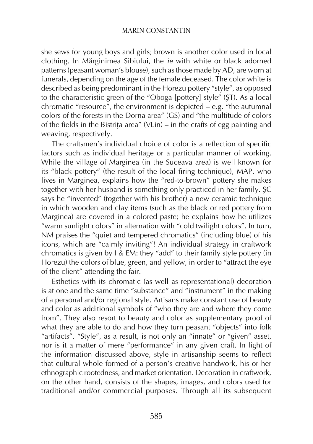she sews for young boys and girls; brown is another color used in local clothing. In Mărginimea Sibiului, the *ie* with white or black adorned patterns (peasant woman's blouse), such as those made by AD, are worn at funerals, depending on the age of the female deceased. The color white is described as being predominant in the Horezu pottery "style", as opposed to the characteristic green of the "Oboga [pottery] style" (ŞT). As a local chromatic "resource", the environment is depicted – e.g. "the autumnal colors of the forests in the Dorna area" (GS) and "the multitude of colors of the fields in the Bistrita area" (VLin) – in the crafts of egg painting and weaving, respectively.

The craftsmen's individual choice of color is a reflection of specific factors such as individual heritage or a particular manner of working. While the village of Marginea (in the Suceava area) is well known for its "black pottery" (the result of the local firing technique), MAP, who lives in Marginea, explains how the "red-to-brown" pottery she makes together with her husband is something only practiced in her family. ŞC says he "invented" (together with his brother) a new ceramic technique in which wooden and clay items (such as the black or red pottery from Marginea) are covered in a colored paste; he explains how he utilizes "warm sunlight colors" in alternation with "cold twilight colors". In turn, NM praises the "quiet and tempered chromatics" (including blue) of his icons, which are "calmly inviting"! An individual strategy in craftwork chromatics is given by I & EM: they "add" to their family style pottery (in Horezu) the colors of blue, green, and yellow, in order to "attract the eye of the client" attending the fair.

Esthetics with its chromatic (as well as representational) decoration is at one and the same time "substance" and "instrument" in the making of a personal and/or regional style. Artisans make constant use of beauty and color as additional symbols of "who they are and where they come from". They also resort to beauty and color as supplementary proof of what they are able to do and how they turn peasant "objects" into folk "artifacts". "Style", as a result, is not only an "innate" or "given" asset, nor is it a matter of mere "performance" in any given craft. In light of the information discussed above, style in artisanship seems to reflect that cultural whole formed of a person's creative handwork, his or her ethnographic rootedness, and market orientation. Decoration in craftwork, on the other hand, consists of the shapes, images, and colors used for traditional and/or commercial purposes. Through all its subsequent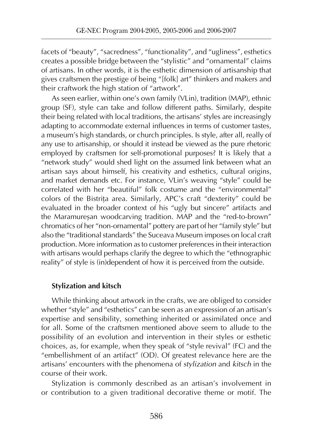facets of "beauty", "sacredness", "functionality", and "ugliness", esthetics creates a possible bridge between the "stylistic" and "ornamental" claims of artisans. In other words, it is the esthetic dimension of artisanship that gives craftsmen the prestige of being "[folk] art" thinkers and makers and their craftwork the high station of "artwork".

As seen earlier, within one's own family (VLin), tradition (MAP), ethnic group (SF), style can take and follow different paths. Similarly, despite their being related with local traditions, the artisans' styles are increasingly adapting to accommodate external influences in terms of customer tastes, a museum's high standards, or church principles. Is style, after all, really of any use to artisanship, or should it instead be viewed as the pure rhetoric employed by craftsmen for self-promotional purposes? It is likely that a "network study" would shed light on the assumed link between what an artisan says about himself, his creativity and esthetics, cultural origins, and market demands etc. For instance, VLin's weaving "style" could be correlated with her "beautiful" folk costume and the "environmental" colors of the Bistrita area. Similarly, APC's craft "dexterity" could be evaluated in the broader context of his "ugly but sincere" artifacts and the Maramureşan woodcarving tradition. MAP and the "red-to-brown" chromatics of her "non-ornamental" pottery are part of her "family style" but also the "traditional standards" the Suceava Museum imposes on local craft production. More information as to customer preferences in their interaction with artisans would perhaps clarify the degree to which the "ethnographic reality" of style is (in)dependent of how it is perceived from the outside.

## **Stylization and kitsch**

While thinking about artwork in the crafts, we are obliged to consider whether "style" and "esthetics" can be seen as an expression of an artisan's expertise and sensibility, something inherited or assimilated once and for all. Some of the craftsmen mentioned above seem to allude to the possibility of an evolution and intervention in their styles or esthetic choices, as, for example, when they speak of "style revival" (FC) and the "embellishment of an artifact" (OD). Of greatest relevance here are the artisans' encounters with the phenomena of *stylization* and *kitsch* in the course of their work.

Stylization is commonly described as an artisan's involvement in or contribution to a given traditional decorative theme or motif. The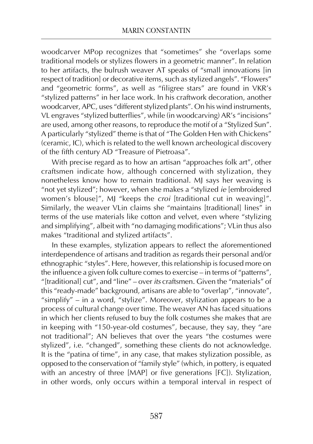woodcarver MPop recognizes that "sometimes" she "overlaps some traditional models or stylizes flowers in a geometric manner". In relation to her artifacts, the bulrush weaver AT speaks of "small innovations [in respect of tradition] or decorative items, such as stylized angels". "Flowers" and "geometric forms", as well as "filigree stars" are found in VKR's "stylized patterns" in her lace work. In his craftwork decoration, another woodcarver, APC, uses "different stylized plants". On his wind instruments, VL engraves "stylized butterflies", while (in woodcarving) AR's "incisions" are used, among other reasons, to reproduce the motif of a "Stylized Sun". A particularly "stylized" theme is that of "The Golden Hen with Chickens" (ceramic, IC), which is related to the well known archeological discovery of the fifth century AD "Treasure of Pietroasa".

With precise regard as to how an artisan "approaches folk art", other craftsmen indicate how, although concerned with stylization, they nonetheless know how to remain traditional. MJ says her weaving is "not yet stylized"; however, when she makes a "stylized *ie* [embroidered women's blouse]", MJ "keeps the *croi* [traditional cut in weaving]". Similarly, the weaver VLin claims she "maintains [traditional] lines" in terms of the use materials like cotton and velvet, even where "stylizing and simplifying", albeit with "no damaging modifications"; VLin thus also makes "traditional and stylized artifacts".

In these examples, stylization appears to reflect the aforementioned interdependence of artisans and tradition as regards their personal and/or ethnographic "styles". Here, however, this relationship is focused more on the influence a given folk culture comes to exercise – in terms of "patterns", "[traditional] cut", and "line" – over *its* craftsmen. Given the "materials" of this "ready-made" background, artisans are able to "overlap", "innovate", "simplify" – in a word, "stylize". Moreover, stylization appears to be a process of cultural change over time. The weaver AN has faced situations in which her clients refused to buy the folk costumes she makes that are in keeping with "150-year-old costumes", because, they say, they "are not traditional"; AN believes that over the years "the costumes were stylized", i.e. "changed", something these clients do not acknowledge. It is the "patina of time", in any case, that makes stylization possible, as opposed to the conservation of "family style" (which, in pottery, is equated with an ancestry of three [MAP] or five generations [FC]). Stylization, in other words, only occurs within a temporal interval in respect of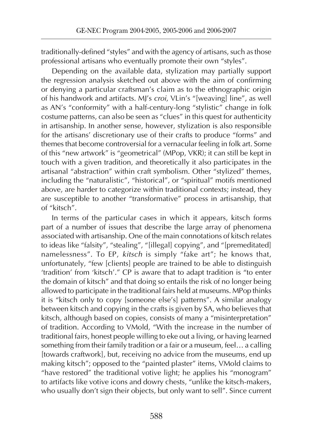traditionally-defined "styles" and with the agency of artisans, such as those professional artisans who eventually promote their own "styles".

Depending on the available data, stylization may partially support the regression analysis sketched out above with the aim of confirming or denying a particular craftsman's claim as to the ethnographic origin of his handwork and artifacts. MJ's *croi*, VLin's "[weaving] line", as well as AN's "conformity" with a half-century-long "stylistic" change in folk costume patterns, can also be seen as "clues" in this quest for authenticity in artisanship. In another sense, however, stylization is also responsible for the artisans' discretionary use of their crafts to produce "forms" and themes that become controversial for a vernacular feeling in folk art. Some of this "new artwork" is "geometrical" (MPop, VKR); it can still be kept in touch with a given tradition, and theoretically it also participates in the artisanal "abstraction" within craft symbolism. Other "stylized" themes, including the "naturalistic", "historical", or "spiritual" motifs mentioned above, are harder to categorize within traditional contexts; instead, they are susceptible to another "transformative" process in artisanship, that of "kitsch".

In terms of the particular cases in which it appears, kitsch forms part of a number of issues that describe the large array of phenomena associated with artisanship. One of the main connotations of kitsch relates to ideas like "falsity", "stealing", "[illegal] copying", and "[premeditated] namelessness". To EP, *kitsch* is simply "fake art"; he knows that, unfortunately, "few [clients] people are trained to be able to distinguish 'tradition' from 'kitsch'." CP is aware that to adapt tradition is "to enter the domain of kitsch" and that doing so entails the risk of no longer being allowed to participate in the traditional fairs held at museums. MPop thinks it is "kitsch only to copy [someone else's] patterns". A similar analogy between kitsch and copying in the crafts is given by SA, who believes that kitsch, although based on copies, consists of many a "misinterpretation" of tradition. According to VMold, "With the increase in the number of traditional fairs, honest people willing to eke out a living, or having learned something from their family tradition or a fair or a museum, feel… a calling [towards craftwork], but, receiving no advice from the museums, end up making kitsch"; opposed to the "painted plaster" items, VMold claims to "have restored" the traditional votive light; he applies his "monogram" to artifacts like votive icons and dowry chests, "unlike the kitsch-makers, who usually don't sign their objects, but only want to sell". Since current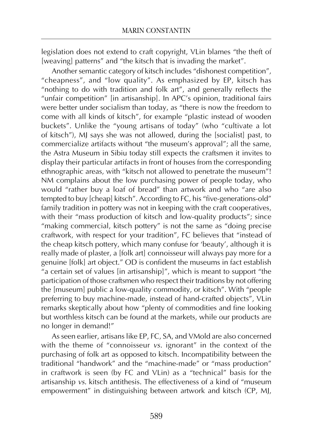legislation does not extend to craft copyright, VLin blames "the theft of [weaving] patterns" and "the kitsch that is invading the market".

Another semantic category of kitsch includes "dishonest competition", "cheapness", and "low quality". As emphasized by EP, kitsch has "nothing to do with tradition and folk art", and generally reflects the "unfair competition" [in artisanship]. In APC's opinion, traditional fairs were better under socialism than today, as "there is now the freedom to come with all kinds of kitsch", for example "plastic instead of wooden buckets". Unlike the "young artisans of today" (who "cultivate a lot of kitsch"), MJ says she was not allowed, during the [socialist] past, to commercialize artifacts without "the museum's approval"; all the same, the Astra Museum in Sibiu today still expects the craftsmen it invites to display their particular artifacts in front of houses from the corresponding ethnographic areas, with "kitsch not allowed to penetrate the museum"! NM complains about the low purchasing power of people today, who would "rather buy a loaf of bread" than artwork and who "are also tempted to buy [cheap] kitsch". According to FC, his "five-generations-old" family tradition in pottery was not in keeping with the craft cooperatives, with their "mass production of kitsch and low-quality products"; since "making commercial, kitsch pottery" is not the same as "doing precise craftwork, with respect for your tradition", FC believes that "instead of the cheap kitsch pottery, which many confuse for 'beauty', although it is really made of plaster, a [folk art] connoisseur will always pay more for a genuine [folk] art object." OD is confident the museums in fact establish "a certain set of values [in artisanship]", which is meant to support "the participation of those craftsmen who respect their traditions by not offering the [museum] public a low-quality commodity, or kitsch". With "people preferring to buy machine-made, instead of hand-crafted objects", VLin remarks skeptically about how "plenty of commodities and fine looking but worthless kitsch can be found at the markets, while our products are no longer in demand!"

As seen earlier, artisans like EP, FC, SA, and VMold are also concerned with the theme of "connoisseur *vs.* ignorant" in the context of the purchasing of folk art as opposed to kitsch. Incompatibility between the traditional "handwork" and the "machine-made" or "mass production" in craftwork is seen (by FC and VLin) as a "technical" basis for the artisanship *vs.* kitsch antithesis. The effectiveness of a kind of "museum empowerment" in distinguishing between artwork and kitsch (CP, MJ,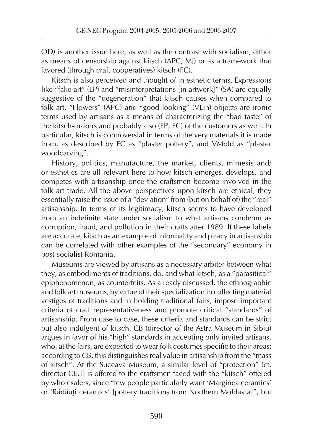OD) is another issue here, as well as the contrast with socialism, either as means of censorship against kitsch (APC, MJ) or as a framework that favored (through craft cooperatives) kitsch (FC).

Kitsch is also perceived and thought of in esthetic terms. Expressions like "fake art" (EP) and "misinterpretations [in artwork]" (SA) are equally suggestive of the "degeneration" that kitsch causes when compared to folk art. "Flowers" (APC) and "good looking" (VLin) objects are ironic terms used by artisans as a means of characterizing the "bad taste" of the kitsch-makers and probably also (EP, FC) of the customers as well. In particular, kitsch is controversial in terms of the very materials it is made from, as described by FC as "plaster pottery", and VMold as "plaster woodcarving".

History, politics, manufacture, the market, clients, mimesis and/ or esthetics are all relevant here to how kitsch emerges, develops, and competes with artisanship once the craftsmen become involved in the folk art trade. All the above perspectives upon kitsch are ethical; they essentially raise the issue of a "deviation" from (but on behalf of) the "real" artisanship. In terms of its legitimacy, kitsch seems to have developed from an indefinite state under socialism to what artisans condemn as corruption, fraud, and pollution in their crafts after 1989. If these labels are accurate, kitsch as an example of informality and piracy in artisanship can be correlated with other examples of the "secondary" economy in post-socialist Romania.

Museums are viewed by artisans as a necessary arbiter between what they, as embodiments of traditions, do, and what kitsch, as a "parasitical" epiphenomenon, as counterfeits. As already discussed, the ethnographic and folk art museums, by virtue of their specialization in collecting material vestiges of traditions and in holding traditional fairs, impose important criteria of craft representativeness and promote critical "standards" of artisanship. From case to case, these criteria and standards can be strict but also indulgent of kitsch. CB (director of the Astra Museum in Sibiu) argues in favor of his "high" standards in accepting only invited artisans, who, at the fairs, are expected to wear folk costumes specific to their areas; according to CB, this distinguishes real value in artisanship from the "mass of kitsch". At the Suceava Museum, a similar level of "protection" (cf. director CEU) is offered to the craftsmen faced with the "kitsch" offered by wholesalers, since "few people particularly want 'Marginea ceramics' or 'Rădăuţi ceramics' [pottery traditions from Northern Moldavia]", but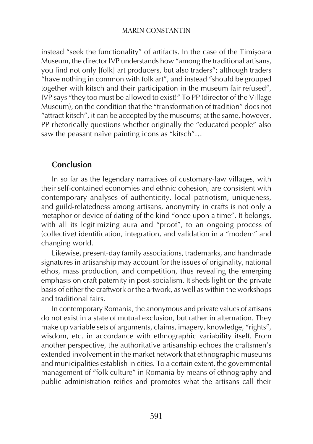instead "seek the functionality" of artifacts. In the case of the Timişoara Museum, the director IVP understands how "among the traditional artisans, you find not only [folk] art producers, but also traders"; although traders "have nothing in common with folk art", and instead "should be grouped together with kitsch and their participation in the museum fair refused", IVP says "they too must be allowed to exist!" To PP (director of the Village Museum), on the condition that the "transformation of tradition" does not "attract kitsch", it can be accepted by the museums; at the same, however, PP rhetorically questions whether originally the "educated people" also saw the peasant naïve painting icons as "kitsch"…

## **Conclusion**

In so far as the legendary narratives of customary-law villages, with their self-contained economies and ethnic cohesion, are consistent with contemporary analyses of authenticity, local patriotism, uniqueness, and guild-relatedness among artisans, anonymity in crafts is not only a metaphor or device of dating of the kind "once upon a time". It belongs, with all its legitimizing aura and "proof", to an ongoing process of (collective) identification, integration, and validation in a "modern" and changing world.

Likewise, present-day family associations, trademarks, and handmade signatures in artisanship may account for the issues of originality, national ethos, mass production, and competition, thus revealing the emerging emphasis on craft paternity in post-socialism. It sheds light on the private basis of either the craftwork or the artwork, as well as within the workshops and traditional fairs.

In contemporary Romania, the anonymous and private values of artisans do not exist in a state of mutual exclusion, but rather in alternation. They make up variable sets of arguments, claims, imagery, knowledge, "rights", wisdom, etc. in accordance with ethnographic variability itself. From another perspective, the authoritative artisanship echoes the craftsmen's extended involvement in the market network that ethnographic museums and municipalities establish in cities. To a certain extent, the governmental management of "folk culture" in Romania by means of ethnography and public administration reifies and promotes what the artisans call their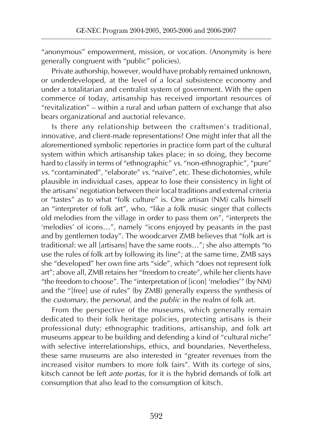"anonymous" empowerment, mission, or vocation. (Anonymity is here generally congruent with "public" policies).

Private authorship, however, would have probably remained unknown, or underdeveloped, at the level of a local subsistence economy and under a totalitarian and centralist system of government. With the open commerce of today, artisanship has received important resources of "revitalization" – within a rural and urban pattern of exchange that also bears organizational and auctorial relevance.

Is there any relationship between the craftsmen's traditional, innovative, and client-made representations? One might infer that all the aforementioned symbolic repertories in practice form part of the cultural system within which artisanship takes place; in so doing, they become hard to classify in terms of "ethnographic" *vs.* "non-ethnographic", "pure" *vs.* "contaminated", "elaborate" *vs.* "naïve", etc. These dichotomies, while plausible in individual cases, appear to lose their consistency in light of the artisans' negotiation between their local traditions and external criteria or "tastes" as to what "folk culture" is. One artisan (NM) calls himself an "interpreter of folk art", who, "like a folk music singer that collects old melodies from the village in order to pass them on", "interprets the 'melodies' of icons…", namely "icons enjoyed by peasants in the past and by gentlemen today". The woodcarver ZMB believes that "folk art is traditional: we all [artisans] have the same roots…"; she also attempts "to use the rules of folk art by following its line"; at the same time, ZMB says she "developed" her own fine arts "side", which "does not represent folk art"; above all, ZMB retains her "freedom to create", while her clients have "the freedom to choose". The "interpretation of [icon] 'melodies'" (by NM) and the "[free] use of rules" (by ZMB) generally express the synthesis of the *customary*, the *personal*, and the *public* in the realm of folk art.

From the perspective of the museums, which generally remain dedicated to their folk heritage policies, protecting artisans is their professional duty; ethnographic traditions, artisanship, and folk art museums appear to be building and defending a kind of "cultural niche" with selective interrelationships, ethics, and boundaries. Nevertheless, these same museums are also interested in "greater revenues from the increased visitor numbers to more folk fairs". With its cortege of sins, kitsch cannot be left *ante portas*, for it is the hybrid demands of folk art consumption that also lead to the consumption of kitsch.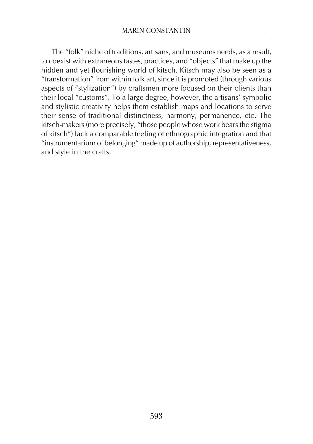The "folk" niche of traditions, artisans, and museums needs, as a result, to coexist with extraneous tastes, practices, and "objects" that make up the hidden and yet flourishing world of kitsch. Kitsch may also be seen as a "transformation" from within folk art, since it is promoted (through various aspects of "stylization") by craftsmen more focused on their clients than their local "customs". To a large degree, however, the artisans' symbolic and stylistic creativity helps them establish maps and locations to serve their sense of traditional distinctness, harmony, permanence, etc. The kitsch-makers (more precisely, "those people whose work bears the stigma of kitsch") lack a comparable feeling of ethnographic integration and that "instrumentarium of belonging" made up of authorship, representativeness, and style in the crafts.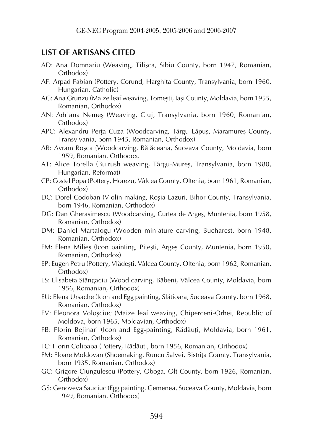### **LIST OF ARTISANS CITED**

- AD: Ana Domnariu (Weaving, Tilişca, Sibiu County, born 1947, Romanian, Orthodox)
- AF: Arpad Fabian (Pottery, Corund, Harghita County, Transylvania, born 1960, Hungarian, Catholic)
- AG: Ana Grunzu (Maize leaf weaving, Tomeşti, Iaşi County, Moldavia, born 1955, Romanian, Orthodox)
- AN: Adriana Nemeş (Weaving, Cluj, Transylvania, born 1960, Romanian, Orthodox)
- APC: Alexandru Perţa Cuza (Woodcarving, Târgu Lăpuş, Maramureş County, Transylvania, born 1945, Romanian, Orthodox)
- AR: Avram Roşca (Woodcarving, Bălăceana, Suceava County, Moldavia, born 1959, Romanian, Orthodox.
- AT: Alice Torella (Bulrush weaving, Târgu-Mureş, Transylvania, born 1980, Hungarian, Reformat)
- CP: Costel Popa (Pottery, Horezu, Vâlcea County, Oltenia, born 1961, Romanian, Orthodox)
- DC: Dorel Codoban (Violin making, Roşia Lazuri, Bihor County, Transylvania, born 1946, Romanian, Orthodox)
- DG: Dan Gherasimescu (Woodcarving, Curtea de Argeş, Muntenia, born 1958, Romanian, Orthodox)
- DM: Daniel Martalogu (Wooden miniature carving, Bucharest, born 1948, Romanian, Orthodox)
- EM: Elena Milieş (Icon painting, Piteşti, Argeş County, Muntenia, born 1950, Romanian, Orthodox)
- EP: Eugen Petru (Pottery, Vlădeşti, Vâlcea County, Oltenia, born 1962, Romanian, Orthodox)
- ES: Elisabeta Stângaciu (Wood carving, Băbeni, Vâlcea County, Moldavia, born 1956, Romanian, Orthodox)
- EU: Elena Ursache (Icon and Egg painting, Slătioara, Suceava County, born 1968, Romanian, Orthodox)
- EV: Eleonora Voloşciuc (Maize leaf weaving, Chiperceni-Orhei, Republic of Moldova, born 1965, Moldavian, Orthodox)
- FB: Florin Bejinari (Icon and Egg-painting, Rădăuți, Moldavia, born 1961, Romanian, Orthodox)
- FC: Florin Colibaba (Pottery, Rădăuţi, born 1956, Romanian, Orthodox)
- FM: Floare Moldovan (Shoemaking, Runcu Salvei, Bistriţa County, Transylvania, born 1935, Romanian, Orthodox)
- GC: Grigore Ciungulescu (Pottery, Oboga, Olt County, born 1926, Romanian, Orthodox)
- GS: Genoveva Sauciuc (Egg painting, Gemenea, Suceava County, Moldavia, born 1949, Romanian, Orthodox)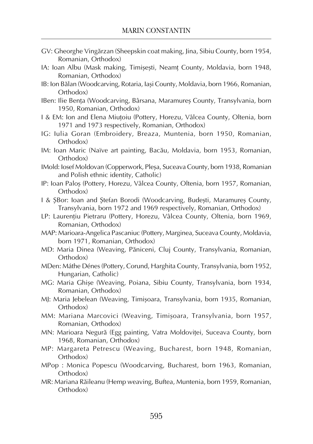- GV: Gheorghe Vingărzan (Sheepskin coat making, Jina, Sibiu County, born 1954, Romanian, Orthodox)
- IA: Ioan Albu (Mask making, Timisesti, Neamt County, Moldavia, born 1948, Romanian, Orthodox)
- IB: Ion Bălan (Woodcarving, Rotaria, Iaşi County, Moldavia, born 1966, Romanian, Orthodox)
- IBen: Ilie Benta (Woodcarving, Bârsana, Maramures County, Transylvania, born 1950, Romanian, Orthodox)
- I & EM: Ion and Elena Miuţoiu (Pottery, Horezu, Vâlcea County, Oltenia, born 1971 and 1973 respectively, Romanian, Orthodox)
- IG: Iulia Goran (Embroidery, Breaza, Muntenia, born 1950, Romanian, Orthodox)
- IM: Ioan Maric (Naïve art painting, Bacău, Moldavia, born 1953, Romanian, Orthodox)
- IMold: Iosef Moldovan (Copperwork, Pleşa, Suceava County, born 1938, Romanian and Polish ethnic identity, Catholic)
- IP: Ioan Paloş (Pottery, Horezu, Vâlcea County, Oltenia, born 1957, Romanian, Orthodox)
- I & ŞBor: Ioan and Ştefan Borodi (Woodcarving, Budeşti, Maramureş County, Transylvania, born 1972 and 1969 respectively, Romanian, Orthodox)
- LP: Laurențiu Pietraru (Pottery, Horezu, Vâlcea County, Oltenia, born 1969, Romanian, Orthodox)
- MAP: Marioara-Angelica Pascaniuc (Pottery, Marginea, Suceava County, Moldavia, born 1971, Romanian, Orthodox)
- MD: Maria Dinea (Weaving, Păniceni, Cluj County, Transylvania, Romanian, Orthodox)
- MDen: Máthe Dénes (Pottery, Corund, Harghita County, Transylvania, born 1952, Hungarian, Catholic)
- MG: Maria Ghişe (Weaving, Poiana, Sibiu County, Transylvania, born 1934, Romanian, Orthodox)
- MJ: Maria Jebelean (Weaving, Timişoara, Transylvania, born 1935, Romanian, Orthodox)
- MM: Mariana Marcovici (Weaving, Timişoara, Transylvania, born 1957, Romanian, Orthodox)
- MN: Marioara Negură (Egg painting, Vatra Moldoviţei, Suceava County, born 1968, Romanian, Orthodox)
- MP: Margareta Petrescu (Weaving, Bucharest, born 1948, Romanian, Orthodox)
- MPop : Monica Popescu (Woodcarving, Bucharest, born 1963, Romanian, Orthodox)
- MR: Mariana Răileanu (Hemp weaving, Buftea, Muntenia, born 1959, Romanian, Orthodox)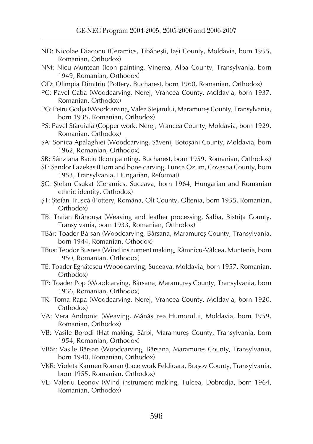- ND: Nicolae Diaconu (Ceramics, Ţibăneşti, Iaşi County, Moldavia, born 1955, Romanian, Orthodox)
- NM: Nicu Muntean (Icon painting, Vinerea, Alba County, Transylvania, born 1949, Romanian, Orthodox)
- OD: Olimpia Dimitriu (Pottery, Bucharest, born 1960, Romanian, Orthodox)
- PC: Pavel Caba (Woodcarving, Nerej, Vrancea County, Moldavia, born 1937, Romanian, Orthodox)
- PG: Petru Godja (Woodcarving, Valea Stejarului, Maramureş County, Transylvania, born 1935, Romanian, Orthodox)
- PS: Pavel Stăruială (Copper work, Nerej, Vrancea County, Moldavia, born 1929, Romanian, Orthodox)
- SA: Sonica Apalaghiei (Woodcarving, Săveni, Botoşani County, Moldavia, born 1962, Romanian, Orthodox)
- SB: Sânziana Baciu (Icon painting, Bucharest, born 1959, Romanian, Orthodox)
- SF: Sandor Fazekas (Horn and bone carving, Lunca Ozum, Covasna County, born 1953, Transylvania, Hungarian, Reformat)
- ŞC: Ştefan Csukat (Ceramics, Suceava, born 1964, Hungarian and Romanian ethnic identity, Orthodox)
- ŞT: Ştefan Truşcă (Pottery, Româna, Olt County, Oltenia, born 1955, Romanian, Orthodox)
- TB: Traian Brânduşa (Weaving and leather processing, Salba, Bistriţa County, Transylvania, born 1933, Romanian, Orthodox)
- TBâr: Toader Bârsan (Woodcarving, Bârsana, Maramureş County, Transylvania, born 1944, Romanian, Othodox)
- TBus: Teodor Busnea (Wind instrument making, Râmnicu-Vâlcea, Muntenia, born 1950, Romanian, Orthodox)
- TE: Toader Egnătescu (Woodcarving, Suceava, Moldavia, born 1957, Romanian, Orthodox)
- TP: Toader Pop (Woodcarving, Bârsana, Maramureş County, Transylvania, born 1936, Romanian, Orthodox)
- TR: Toma Rapa (Woodcarving, Nerej, Vrancea County, Moldavia, born 1920, Orthodox)
- VA: Vera Andronic (Weaving, Mănăstirea Humorului, Moldavia, born 1959, Romanian, Orthodox)
- VB: Vasile Borodi (Hat making, Sârbi, Maramureş County, Transylvania, born 1954, Romanian, Orthodox)
- VBâr: Vasile Bârsan (Woodcarving, Bârsana, Maramureş County, Transylvania, born 1940, Romanian, Orthodox)
- VKR: Violeta Karmen Roman (Lace work Feldioara, Braşov County, Transylvania, born 1955, Romanian, Orthodox)
- VL: Valeriu Leonov (Wind instrument making, Tulcea, Dobrodja, born 1964, Romanian, Orthodox)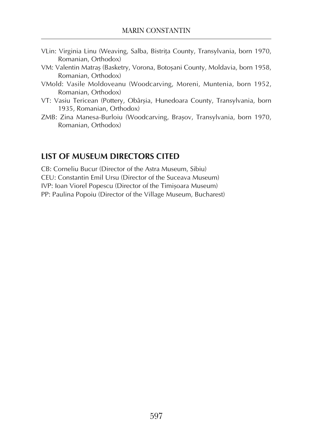- VLin: Virginia Linu (Weaving, Salba, Bistriţa County, Transylvania, born 1970, Romanian, Orthodox)
- VM: Valentin Matraş (Basketry, Vorona, Botoşani County, Moldavia, born 1958, Romanian, Orthodox)
- VMold: Vasile Moldoveanu (Woodcarving, Moreni, Muntenia, born 1952, Romanian, Orthodox)
- VT: Vasiu Tericean (Pottery, Obârşia, Hunedoara County, Transylvania, born 1935, Romanian, Orthodox)
- ZMB: Zina Manesa-Burloiu (Woodcarving, Braşov, Transylvania, born 1970, Romanian, Orthodox)

## **LIST OF MUSEUM DIRECTORS CITED**

CB: Corneliu Bucur (Director of the Astra Museum, Sibiu) CEU: Constantin Emil Ursu (Director of the Suceava Museum) IVP: Ioan Viorel Popescu (Director of the Timişoara Museum) PP: Paulina Popoiu (Director of the Village Museum, Bucharest)